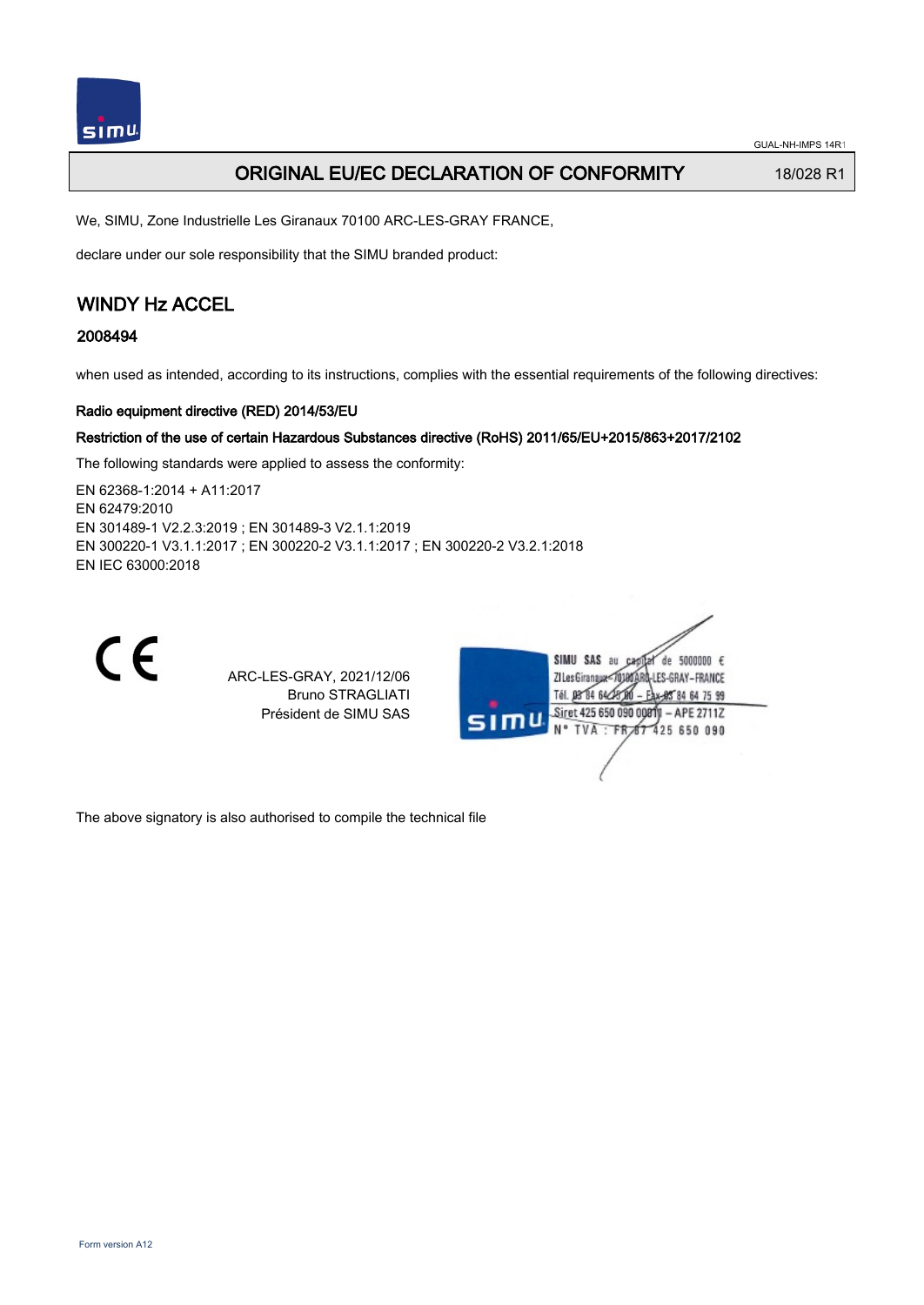

GUAL-NH-IMPS 14R1

## ORIGINAL EU/EC DECLARATION OF CONFORMITY 18/028 R1

We, SIMU, Zone Industrielle Les Giranaux 70100 ARC-LES-GRAY FRANCE,

declare under our sole responsibility that the SIMU branded product:

# WINDY Hz ACCEL

## 2008494

when used as intended, according to its instructions, complies with the essential requirements of the following directives:

### Radio equipment directive (RED) 2014/53/EU

### Restriction of the use of certain Hazardous Substances directive (RoHS) 2011/65/EU+2015/863+2017/2102

The following standards were applied to assess the conformity:

EN 62368‑1:2014 + A11:2017 EN 62479:2010 EN 301489‑1 V2.2.3:2019 ; EN 301489‑3 V2.1.1:2019 EN 300220‑1 V3.1.1:2017 ; EN 300220‑2 V3.1.1:2017 ; EN 300220‑2 V3.2.1:2018 EN IEC 63000:2018



ARC-LES-GRAY, 2021/12/06 Bruno STRAGLIATI Président de SIMU SAS



The above signatory is also authorised to compile the technical file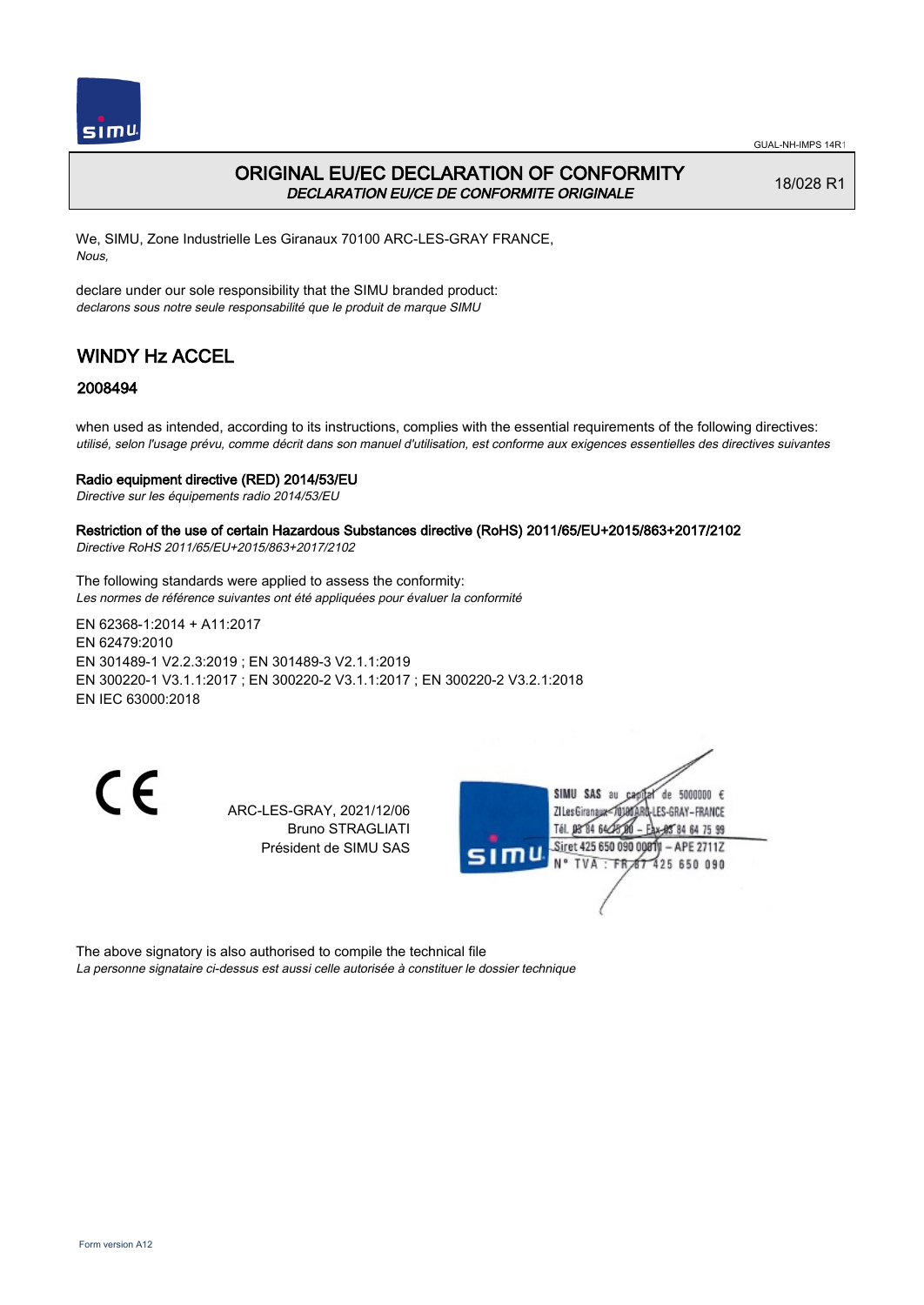

## ORIGINAL EU/EC DECLARATION OF CONFORMITY DECLARATION EU/CE DE CONFORMITE ORIGINALE

18/028 R1

We, SIMU, Zone Industrielle Les Giranaux 70100 ARC-LES-GRAY FRANCE, Nous,

declare under our sole responsibility that the SIMU branded product: declarons sous notre seule responsabilité que le produit de marque SIMU

# WINDY Hz ACCEL

### 2008494

when used as intended, according to its instructions, complies with the essential requirements of the following directives: utilisé, selon l'usage prévu, comme décrit dans son manuel d'utilisation, est conforme aux exigences essentielles des directives suivantes

#### Radio equipment directive (RED) 2014/53/EU

Directive sur les équipements radio 2014/53/EU

Restriction of the use of certain Hazardous Substances directive (RoHS) 2011/65/EU+2015/863+2017/2102 Directive RoHS 2011/65/EU+2015/863+2017/2102

The following standards were applied to assess the conformity: Les normes de référence suivantes ont été appliquées pour évaluer la conformité

EN 62368‑1:2014 + A11:2017 EN 62479:2010 EN 301489‑1 V2.2.3:2019 ; EN 301489‑3 V2.1.1:2019 EN 300220‑1 V3.1.1:2017 ; EN 300220‑2 V3.1.1:2017 ; EN 300220‑2 V3.2.1:2018 EN IEC 63000:2018

 $\epsilon$ 

ARC-LES-GRAY, 2021/12/06 Bruno STRAGLIATI Président de SIMU SAS



The above signatory is also authorised to compile the technical file La personne signataire ci-dessus est aussi celle autorisée à constituer le dossier technique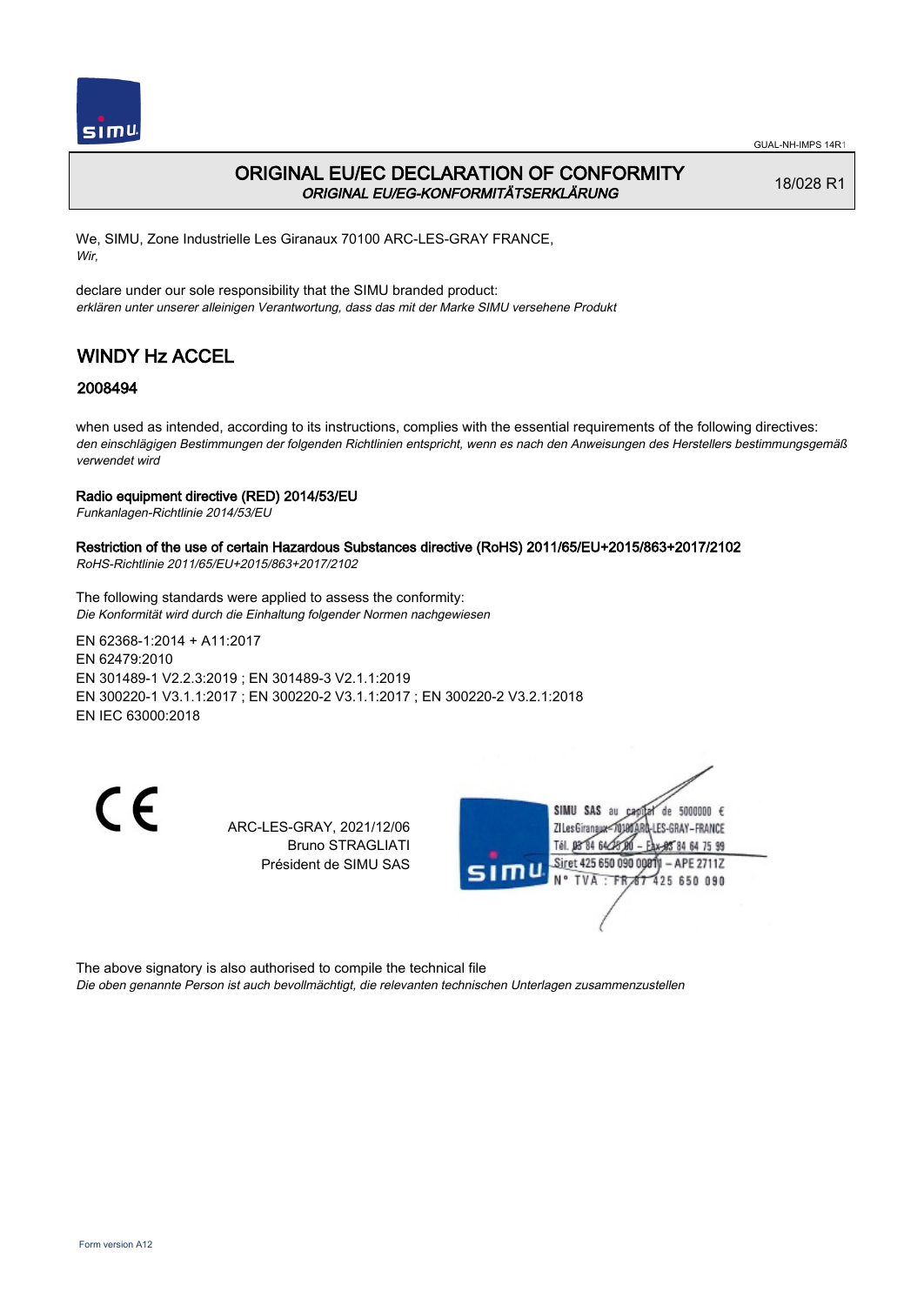

## ORIGINAL EU/EC DECLARATION OF CONFORMITY ORIGINAL EU/EG-KONFORMITÄTSERKLÄRUNG

18/028 R1

We, SIMU, Zone Industrielle Les Giranaux 70100 ARC-LES-GRAY FRANCE, Wir,

declare under our sole responsibility that the SIMU branded product: erklären unter unserer alleinigen Verantwortung, dass das mit der Marke SIMU versehene Produkt

# WINDY Hz ACCEL

## 2008494

when used as intended, according to its instructions, complies with the essential requirements of the following directives: den einschlägigen Bestimmungen der folgenden Richtlinien entspricht, wenn es nach den Anweisungen des Herstellers bestimmungsgemäß verwendet wird

### Radio equipment directive (RED) 2014/53/EU

Funkanlagen-Richtlinie 2014/53/EU

# Restriction of the use of certain Hazardous Substances directive (RoHS) 2011/65/EU+2015/863+2017/2102

RoHS-Richtlinie 2011/65/EU+2015/863+2017/2102

The following standards were applied to assess the conformity: Die Konformität wird durch die Einhaltung folgender Normen nachgewiesen

EN 62368‑1:2014 + A11:2017 EN 62479:2010 EN 301489‑1 V2.2.3:2019 ; EN 301489‑3 V2.1.1:2019 EN 300220‑1 V3.1.1:2017 ; EN 300220‑2 V3.1.1:2017 ; EN 300220‑2 V3.2.1:2018 EN IEC 63000:2018

CE

ARC-LES-GRAY, 2021/12/06 Bruno STRAGLIATI Président de SIMU SAS



The above signatory is also authorised to compile the technical file Die oben genannte Person ist auch bevollmächtigt, die relevanten technischen Unterlagen zusammenzustellen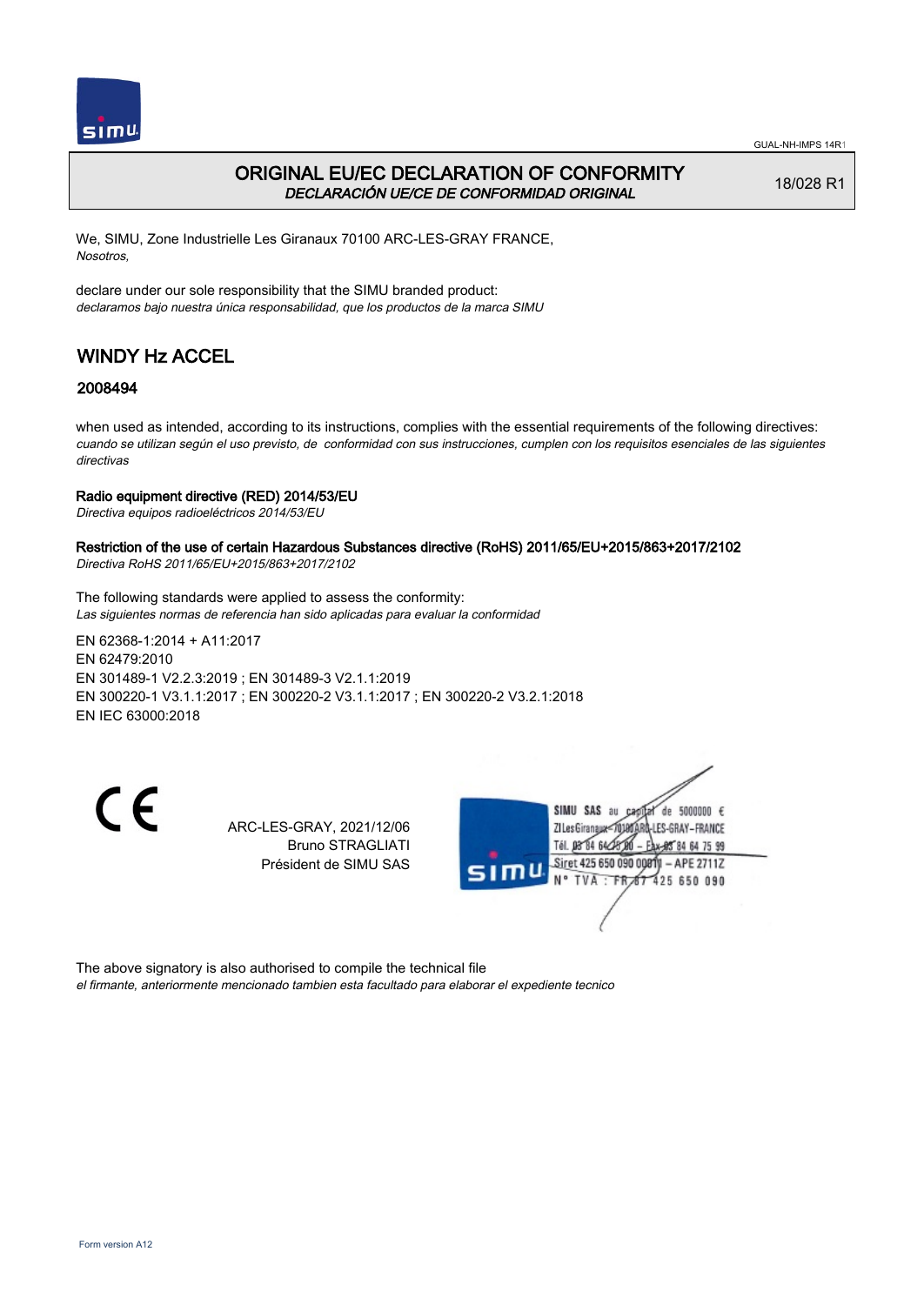

## ORIGINAL EU/EC DECLARATION OF CONFORMITY DECLARACIÓN UE/CE DE CONFORMIDAD ORIGINAL

18/028 R1

We, SIMU, Zone Industrielle Les Giranaux 70100 ARC-LES-GRAY FRANCE, Nosotros,

declare under our sole responsibility that the SIMU branded product: declaramos bajo nuestra única responsabilidad, que los productos de la marca SIMU

# WINDY Hz ACCEL

## 2008494

when used as intended, according to its instructions, complies with the essential requirements of the following directives: cuando se utilizan según el uso previsto, de conformidad con sus instrucciones, cumplen con los requisitos esenciales de las siguientes directivas

### Radio equipment directive (RED) 2014/53/EU

Directiva equipos radioeléctricos 2014/53/EU

## Restriction of the use of certain Hazardous Substances directive (RoHS) 2011/65/EU+2015/863+2017/2102

Directiva RoHS 2011/65/EU+2015/863+2017/2102

The following standards were applied to assess the conformity: Las siguientes normas de referencia han sido aplicadas para evaluar la conformidad

EN 62368‑1:2014 + A11:2017 EN 62479:2010 EN 301489‑1 V2.2.3:2019 ; EN 301489‑3 V2.1.1:2019 EN 300220‑1 V3.1.1:2017 ; EN 300220‑2 V3.1.1:2017 ; EN 300220‑2 V3.2.1:2018 EN IEC 63000:2018

CE

ARC-LES-GRAY, 2021/12/06 Bruno STRAGLIATI Président de SIMU SAS



The above signatory is also authorised to compile the technical file el firmante, anteriormente mencionado tambien esta facultado para elaborar el expediente tecnico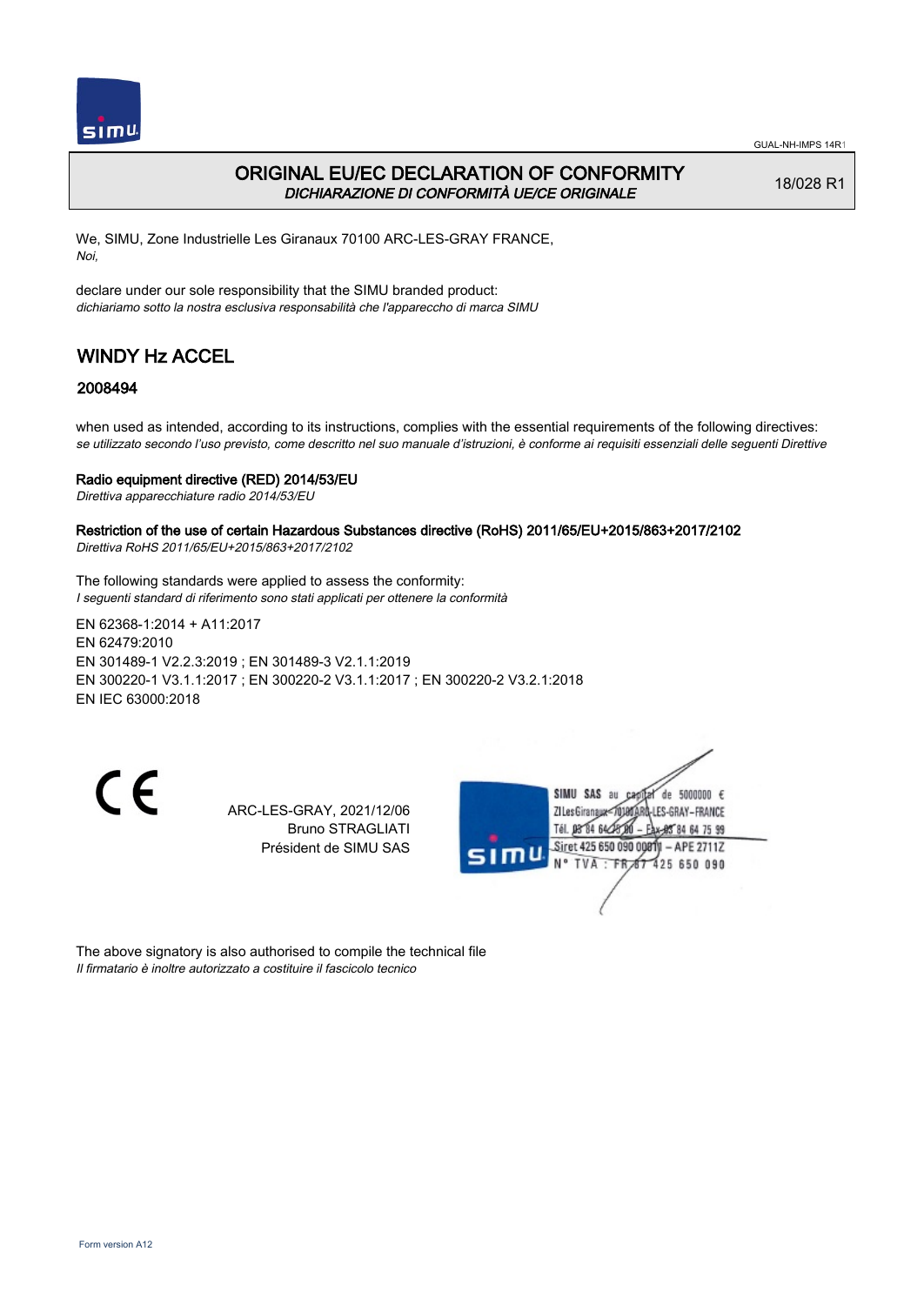

## ORIGINAL EU/EC DECLARATION OF CONFORMITY DICHIARAZIONE DI CONFORMITÀ UE/CE ORIGINALE

18/028 R1

We, SIMU, Zone Industrielle Les Giranaux 70100 ARC-LES-GRAY FRANCE, Noi,

declare under our sole responsibility that the SIMU branded product: dichiariamo sotto la nostra esclusiva responsabilità che l'appareccho di marca SIMU

# WINDY Hz ACCEL

## 2008494

when used as intended, according to its instructions, complies with the essential requirements of the following directives: se utilizzato secondo l'uso previsto, come descritto nel suo manuale d'istruzioni, è conforme ai requisiti essenziali delle seguenti Direttive

### Radio equipment directive (RED) 2014/53/EU

Direttiva apparecchiature radio 2014/53/EU

Restriction of the use of certain Hazardous Substances directive (RoHS) 2011/65/EU+2015/863+2017/2102 Direttiva RoHS 2011/65/EU+2015/863+2017/2102

The following standards were applied to assess the conformity: I seguenti standard di riferimento sono stati applicati per ottenere la conformità

EN 62368‑1:2014 + A11:2017 EN 62479:2010 EN 301489‑1 V2.2.3:2019 ; EN 301489‑3 V2.1.1:2019 EN 300220‑1 V3.1.1:2017 ; EN 300220‑2 V3.1.1:2017 ; EN 300220‑2 V3.2.1:2018 EN IEC 63000:2018

 $\epsilon$ 

ARC-LES-GRAY, 2021/12/06 Bruno STRAGLIATI Président de SIMU SAS



The above signatory is also authorised to compile the technical file Il firmatario è inoltre autorizzato a costituire il fascicolo tecnico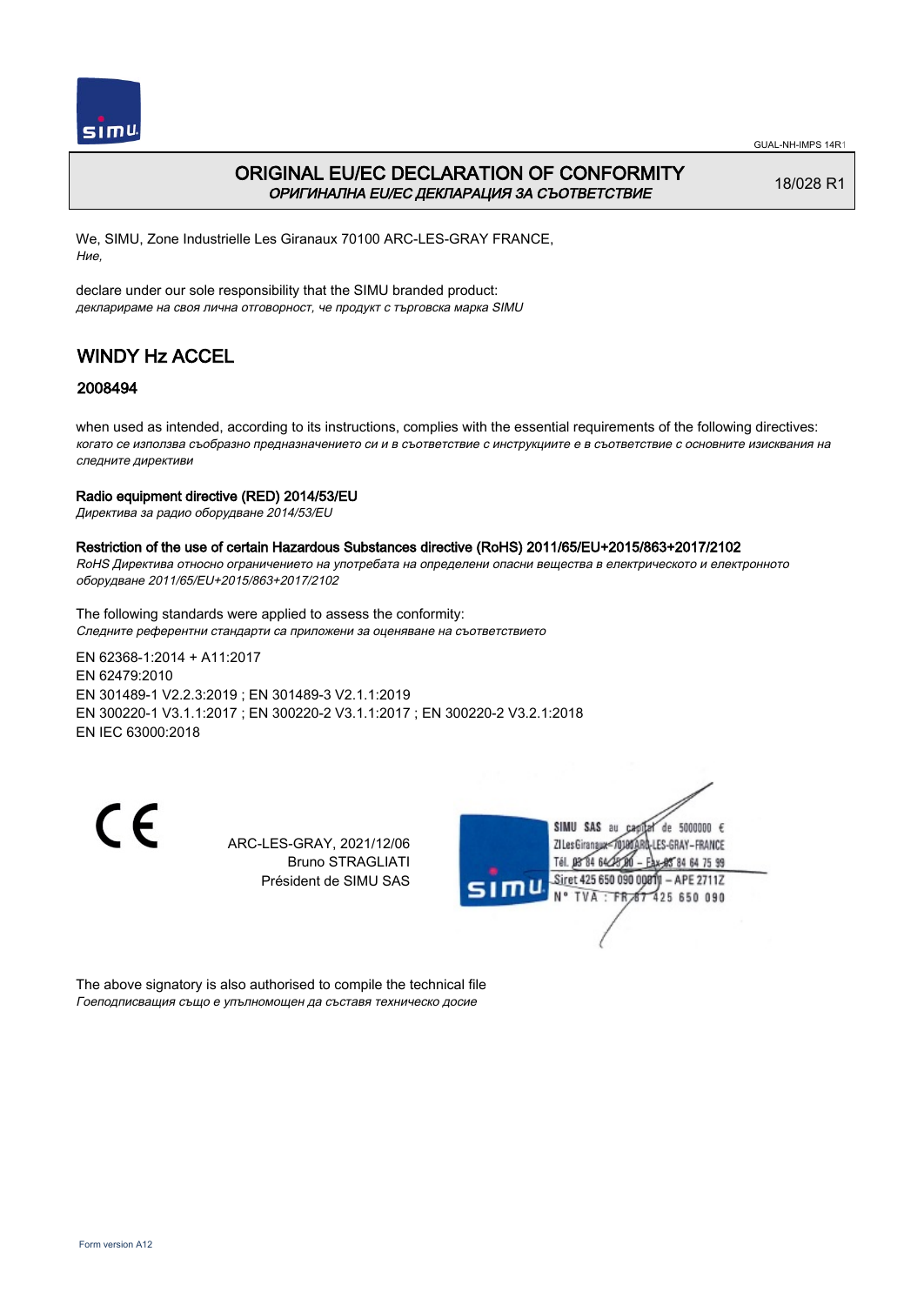

## ORIGINAL EU/EC DECLARATION OF CONFORMITY ОРИГИНАЛНА EU/EC ДЕКЛАРАЦИЯ ЗА СЪОТВЕТСТВИЕ

18/028 R1

We, SIMU, Zone Industrielle Les Giranaux 70100 ARC-LES-GRAY FRANCE, Ние,

declare under our sole responsibility that the SIMU branded product: декларираме на своя лична отговорност, че продукт с търговска марка SIMU

# WINDY Hz ACCEL

## 2008494

when used as intended, according to its instructions, complies with the essential requirements of the following directives: когато се използва съобразно предназначението си и в съответствие с инструкциите е в съответствие с основните изисквания на следните директиви

### Radio equipment directive (RED) 2014/53/EU

Директива за радио оборудване 2014/53/EU

### Restriction of the use of certain Hazardous Substances directive (RoHS) 2011/65/EU+2015/863+2017/2102

RoHS Директива относно ограничението на употребата на определени опасни вещества в електрическото и електронното оборудване 2011/65/EU+2015/863+2017/2102

The following standards were applied to assess the conformity: Следните референтни стандарти са приложени за оценяване на съответствието

EN 62368‑1:2014 + A11:2017 EN 62479:2010 EN 301489‑1 V2.2.3:2019 ; EN 301489‑3 V2.1.1:2019 EN 300220‑1 V3.1.1:2017 ; EN 300220‑2 V3.1.1:2017 ; EN 300220‑2 V3.2.1:2018 EN IEC 63000:2018

 $\epsilon$ 

ARC-LES-GRAY, 2021/12/06 Bruno STRAGLIATI Président de SIMU SAS



The above signatory is also authorised to compile the technical file Гоеподписващия също е упълномощен да съставя техническо досие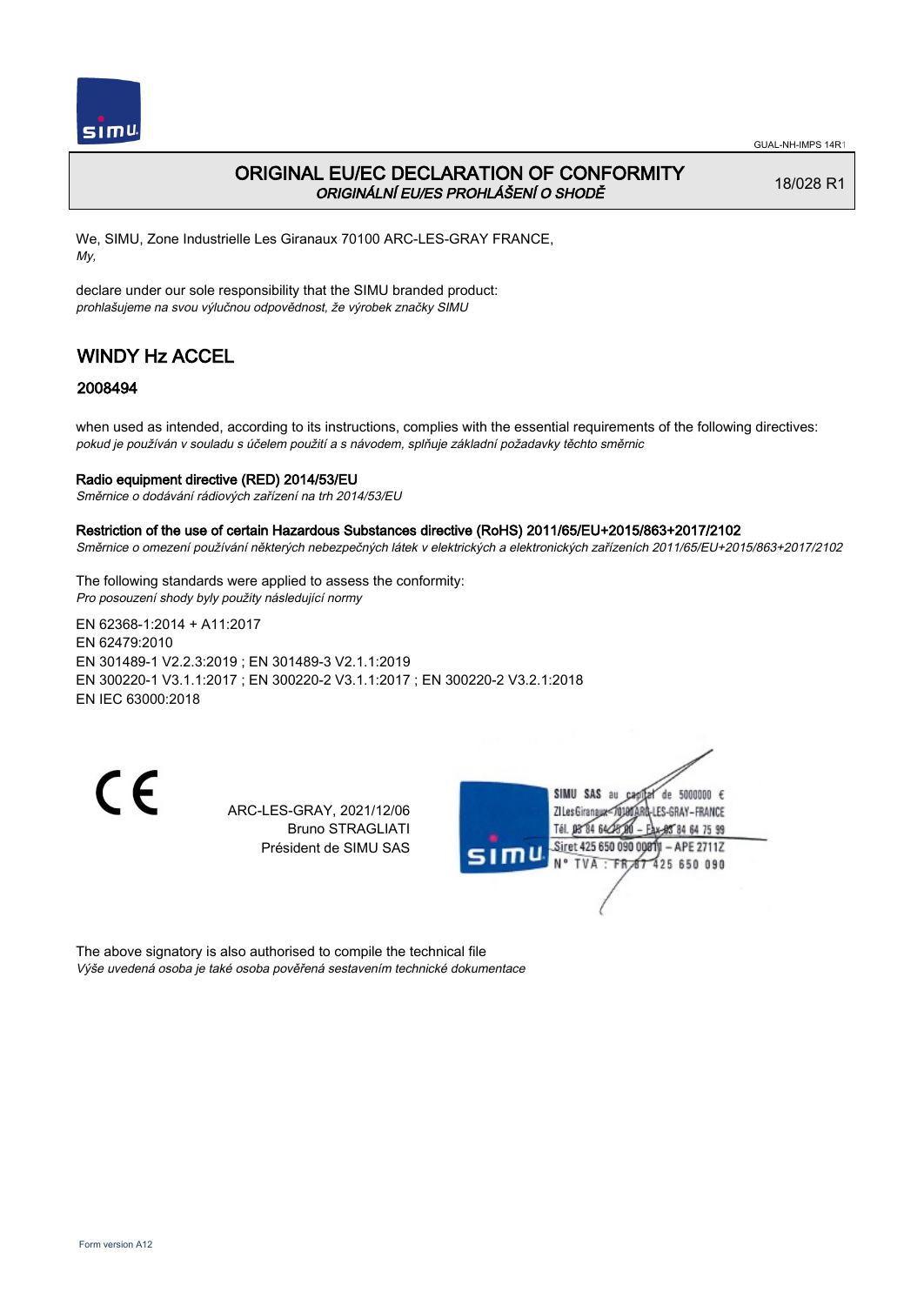

## ORIGINAL EU/EC DECLARATION OF CONFORMITY ORIGINÁLNÍ EU/ES PROHLÁŠENÍ O SHODĚ

18/028 R1

We, SIMU, Zone Industrielle Les Giranaux 70100 ARC-LES-GRAY FRANCE, My,

declare under our sole responsibility that the SIMU branded product: prohlašujeme na svou výlučnou odpovědnost, že výrobek značky SIMU

# WINDY Hz ACCEL

## 2008494

when used as intended, according to its instructions, complies with the essential requirements of the following directives: pokud je používán v souladu s účelem použití a s návodem, splňuje základní požadavky těchto směrnic

### Radio equipment directive (RED) 2014/53/EU

Směrnice o dodávání rádiových zařízení na trh 2014/53/EU

Restriction of the use of certain Hazardous Substances directive (RoHS) 2011/65/EU+2015/863+2017/2102

Směrnice o omezení používání některých nebezpečných látek v elektrických a elektronických zařízeních 2011/65/EU+2015/863+2017/2102

The following standards were applied to assess the conformity: Pro posouzení shody byly použity následující normy

EN 62368‑1:2014 + A11:2017 EN 62479:2010 EN 301489‑1 V2.2.3:2019 ; EN 301489‑3 V2.1.1:2019 EN 300220‑1 V3.1.1:2017 ; EN 300220‑2 V3.1.1:2017 ; EN 300220‑2 V3.2.1:2018 EN IEC 63000:2018

 $\epsilon$ 

ARC-LES-GRAY, 2021/12/06 Bruno STRAGLIATI Président de SIMU SAS



The above signatory is also authorised to compile the technical file Výše uvedená osoba je také osoba pověřená sestavením technické dokumentace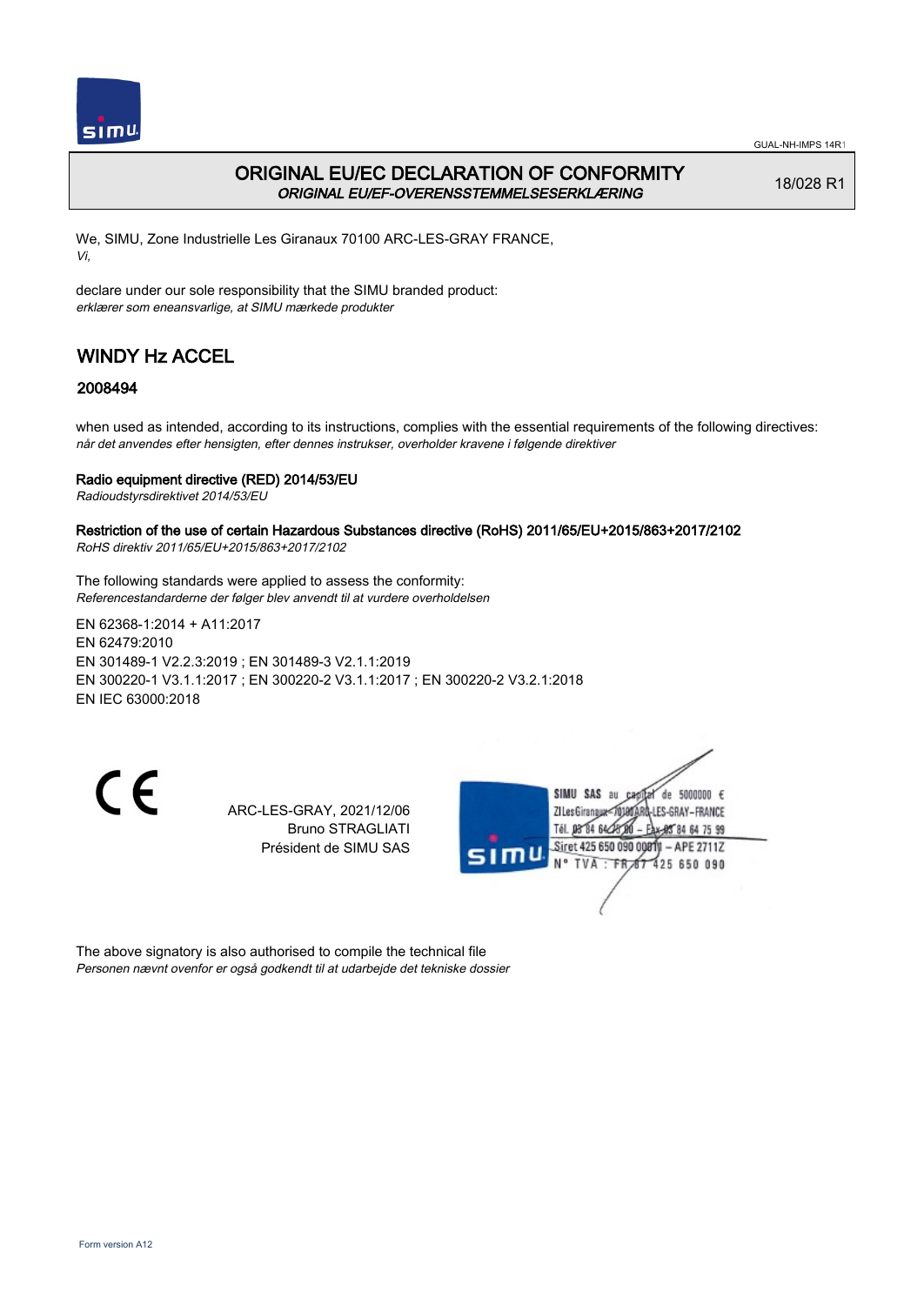

## ORIGINAL EU/EC DECLARATION OF CONFORMITY ORIGINAL EU/EF-OVERENSSTEMMELSESERKLÆRING

18/028 R1

We, SIMU, Zone Industrielle Les Giranaux 70100 ARC-LES-GRAY FRANCE, Vi,

declare under our sole responsibility that the SIMU branded product: erklærer som eneansvarlige, at SIMU mærkede produkter

# WINDY Hz ACCEL

## 2008494

when used as intended, according to its instructions, complies with the essential requirements of the following directives: når det anvendes efter hensigten, efter dennes instrukser, overholder kravene i følgende direktiver

### Radio equipment directive (RED) 2014/53/EU

Radioudstyrsdirektivet 2014/53/EU

#### Restriction of the use of certain Hazardous Substances directive (RoHS) 2011/65/EU+2015/863+2017/2102 RoHS direktiv 2011/65/EU+2015/863+2017/2102

The following standards were applied to assess the conformity: Referencestandarderne der følger blev anvendt til at vurdere overholdelsen

EN 62368‑1:2014 + A11:2017 EN 62479:2010 EN 301489‑1 V2.2.3:2019 ; EN 301489‑3 V2.1.1:2019 EN 300220‑1 V3.1.1:2017 ; EN 300220‑2 V3.1.1:2017 ; EN 300220‑2 V3.2.1:2018 EN IEC 63000:2018

CE

ARC-LES-GRAY, 2021/12/06 Bruno STRAGLIATI Président de SIMU SAS



The above signatory is also authorised to compile the technical file Personen nævnt ovenfor er også godkendt til at udarbejde det tekniske dossier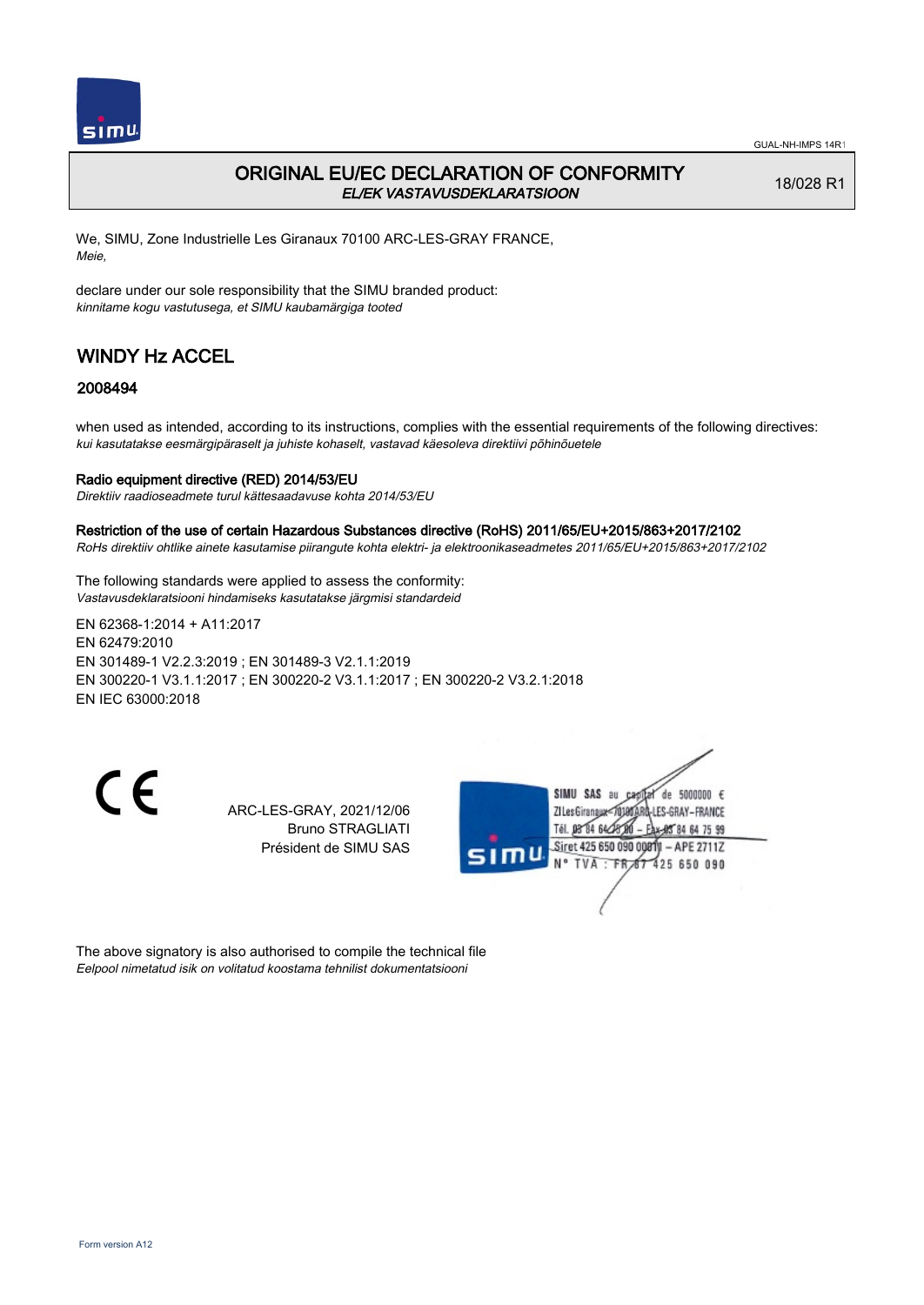

## ORIGINAL EU/EC DECLARATION OF CONFORMITY EL/EK VASTAVUSDEKLARATSIOON

18/028 R1

We, SIMU, Zone Industrielle Les Giranaux 70100 ARC-LES-GRAY FRANCE, Meie,

declare under our sole responsibility that the SIMU branded product: kinnitame kogu vastutusega, et SIMU kaubamärgiga tooted

# WINDY Hz ACCEL

### 2008494

when used as intended, according to its instructions, complies with the essential requirements of the following directives: kui kasutatakse eesmärgipäraselt ja juhiste kohaselt, vastavad käesoleva direktiivi põhinõuetele

### Radio equipment directive (RED) 2014/53/EU

Direktiiv raadioseadmete turul kättesaadavuse kohta 2014/53/EU

#### Restriction of the use of certain Hazardous Substances directive (RoHS) 2011/65/EU+2015/863+2017/2102

RoHs direktiiv ohtlike ainete kasutamise piirangute kohta elektri- ja elektroonikaseadmetes 2011/65/EU+2015/863+2017/2102

The following standards were applied to assess the conformity: Vastavusdeklaratsiooni hindamiseks kasutatakse järgmisi standardeid

EN 62368‑1:2014 + A11:2017 EN 62479:2010 EN 301489‑1 V2.2.3:2019 ; EN 301489‑3 V2.1.1:2019 EN 300220‑1 V3.1.1:2017 ; EN 300220‑2 V3.1.1:2017 ; EN 300220‑2 V3.2.1:2018 EN IEC 63000:2018

CE

ARC-LES-GRAY, 2021/12/06 Bruno STRAGLIATI Président de SIMU SAS



The above signatory is also authorised to compile the technical file Eelpool nimetatud isik on volitatud koostama tehnilist dokumentatsiooni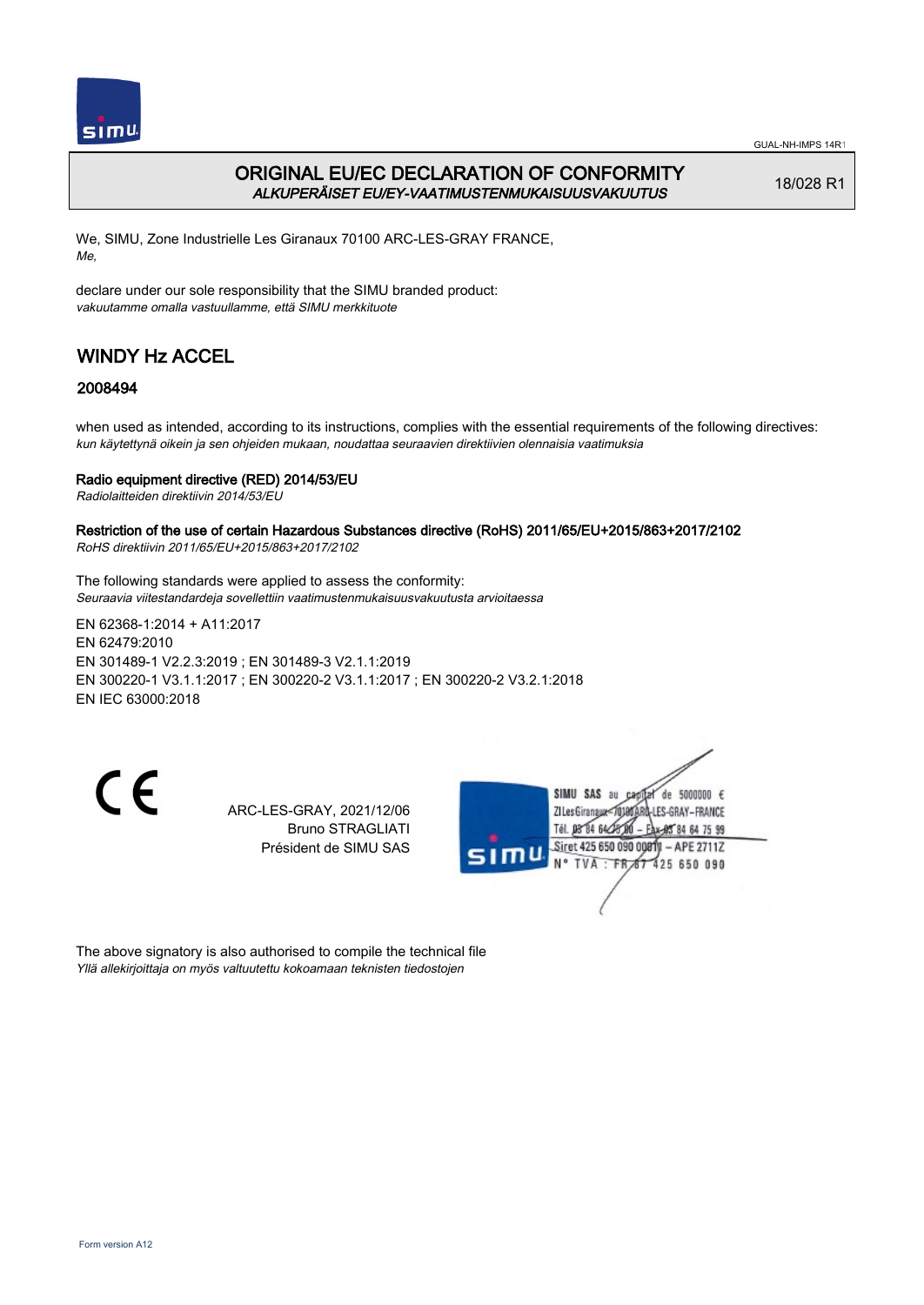

GUAL-NH-IMPS 14R1

## ORIGINAL EU/EC DECLARATION OF CONFORMITY ALKUPERÄISET EU/EY-VAATIMUSTENMUKAISUUSVAKUUTUS

18/028 R1

We, SIMU, Zone Industrielle Les Giranaux 70100 ARC-LES-GRAY FRANCE, Me,

declare under our sole responsibility that the SIMU branded product: vakuutamme omalla vastuullamme, että SIMU merkkituote

# WINDY Hz ACCEL

## 2008494

when used as intended, according to its instructions, complies with the essential requirements of the following directives: kun käytettynä oikein ja sen ohjeiden mukaan, noudattaa seuraavien direktiivien olennaisia vaatimuksia

### Radio equipment directive (RED) 2014/53/EU

Radiolaitteiden direktiivin 2014/53/EU

#### Restriction of the use of certain Hazardous Substances directive (RoHS) 2011/65/EU+2015/863+2017/2102 RoHS direktiivin 2011/65/EU+2015/863+2017/2102

The following standards were applied to assess the conformity: Seuraavia viitestandardeja sovellettiin vaatimustenmukaisuusvakuutusta arvioitaessa

EN 62368‑1:2014 + A11:2017 EN 62479:2010 EN 301489‑1 V2.2.3:2019 ; EN 301489‑3 V2.1.1:2019 EN 300220‑1 V3.1.1:2017 ; EN 300220‑2 V3.1.1:2017 ; EN 300220‑2 V3.2.1:2018 EN IEC 63000:2018

CE

ARC-LES-GRAY, 2021/12/06 Bruno STRAGLIATI Président de SIMU SAS



The above signatory is also authorised to compile the technical file Yllä allekirjoittaja on myös valtuutettu kokoamaan teknisten tiedostojen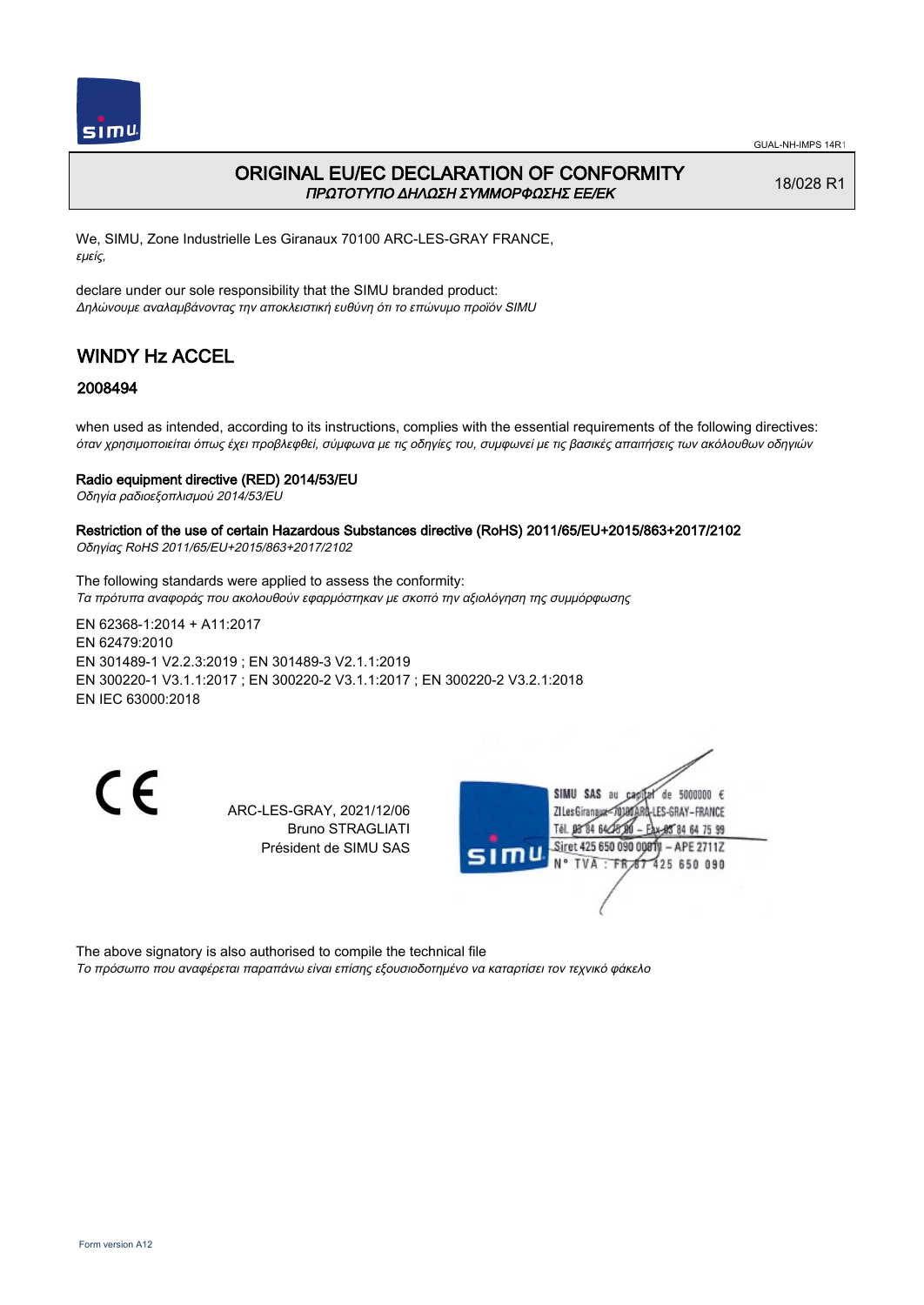

## ORIGINAL EU/EC DECLARATION OF CONFORMITY ΠΡΩΤΟΤΥΠΟ ΔΗΛΩΣΗ ΣΥΜΜΟΡΦΩΣΗΣ ΕΕ/EK

18/028 R1

We, SIMU, Zone Industrielle Les Giranaux 70100 ARC-LES-GRAY FRANCE, εμείς,

declare under our sole responsibility that the SIMU branded product: Δηλώνουμε αναλαμβάνοντας την αποκλειστική ευθύνη ότι το επώνυμο προϊόν SIMU

# WINDY Hz ACCEL

## 2008494

when used as intended, according to its instructions, complies with the essential requirements of the following directives: όταν χρησιμοποιείται όπως έχει προβλεφθεί, σύμφωνα με τις οδηγίες του, συμφωνεί με τις βασικές απαιτήσεις των ακόλουθων οδηγιών

### Radio equipment directive (RED) 2014/53/EU

Οδηγία ραδιοεξοπλισμού 2014/53/EU

#### Restriction of the use of certain Hazardous Substances directive (RoHS) 2011/65/EU+2015/863+2017/2102 Οδηγίας RoHS 2011/65/EU+2015/863+2017/2102

The following standards were applied to assess the conformity: Τα πρότυπα αναφοράς που ακολουθούν εφαρμόστηκαν με σκοπό την αξιολόγηση της συμμόρφωσης

EN 62368‑1:2014 + A11:2017 EN 62479:2010 EN 301489‑1 V2.2.3:2019 ; EN 301489‑3 V2.1.1:2019 EN 300220‑1 V3.1.1:2017 ; EN 300220‑2 V3.1.1:2017 ; EN 300220‑2 V3.2.1:2018 EN IEC 63000:2018

C E

ARC-LES-GRAY, 2021/12/06 Bruno STRAGLIATI Président de SIMU SAS



The above signatory is also authorised to compile the technical file

Το πρόσωπο που αναφέρεται παραπάνω είναι επίσης εξουσιοδοτημένο να καταρτίσει τον τεχνικό φάκελο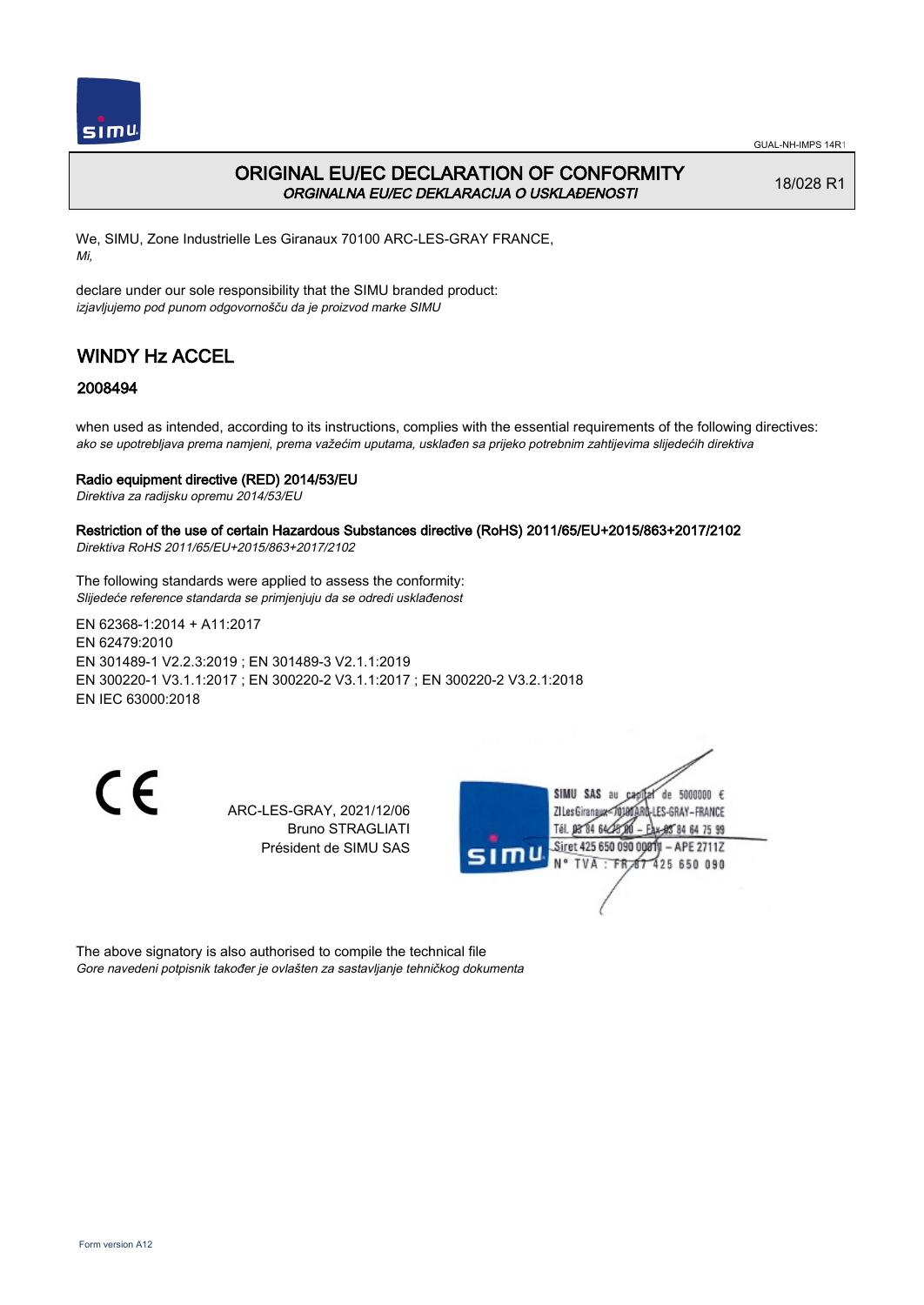

## ORIGINAL EU/EC DECLARATION OF CONFORMITY ORGINALNA EU/EC DEKLARACIJA O USKLAĐENOSTI

18/028 R1

We, SIMU, Zone Industrielle Les Giranaux 70100 ARC-LES-GRAY FRANCE, Mi,

declare under our sole responsibility that the SIMU branded product: izjavljujemo pod punom odgovornošču da je proizvod marke SIMU

# WINDY Hz ACCEL

## 2008494

when used as intended, according to its instructions, complies with the essential requirements of the following directives: ako se upotrebljava prema namjeni, prema važećim uputama, usklađen sa prijeko potrebnim zahtijevima slijedećih direktiva

### Radio equipment directive (RED) 2014/53/EU

Direktiva za radijsku opremu 2014/53/EU

#### Restriction of the use of certain Hazardous Substances directive (RoHS) 2011/65/EU+2015/863+2017/2102 Direktiva RoHS 2011/65/EU+2015/863+2017/2102

The following standards were applied to assess the conformity: Slijedeće reference standarda se primjenjuju da se odredi usklađenost

EN 62368‑1:2014 + A11:2017 EN 62479:2010 EN 301489‑1 V2.2.3:2019 ; EN 301489‑3 V2.1.1:2019 EN 300220‑1 V3.1.1:2017 ; EN 300220‑2 V3.1.1:2017 ; EN 300220‑2 V3.2.1:2018 EN IEC 63000:2018

 $\epsilon$ 

ARC-LES-GRAY, 2021/12/06 Bruno STRAGLIATI Président de SIMU SAS



The above signatory is also authorised to compile the technical file Gore navedeni potpisnik također je ovlašten za sastavljanje tehničkog dokumenta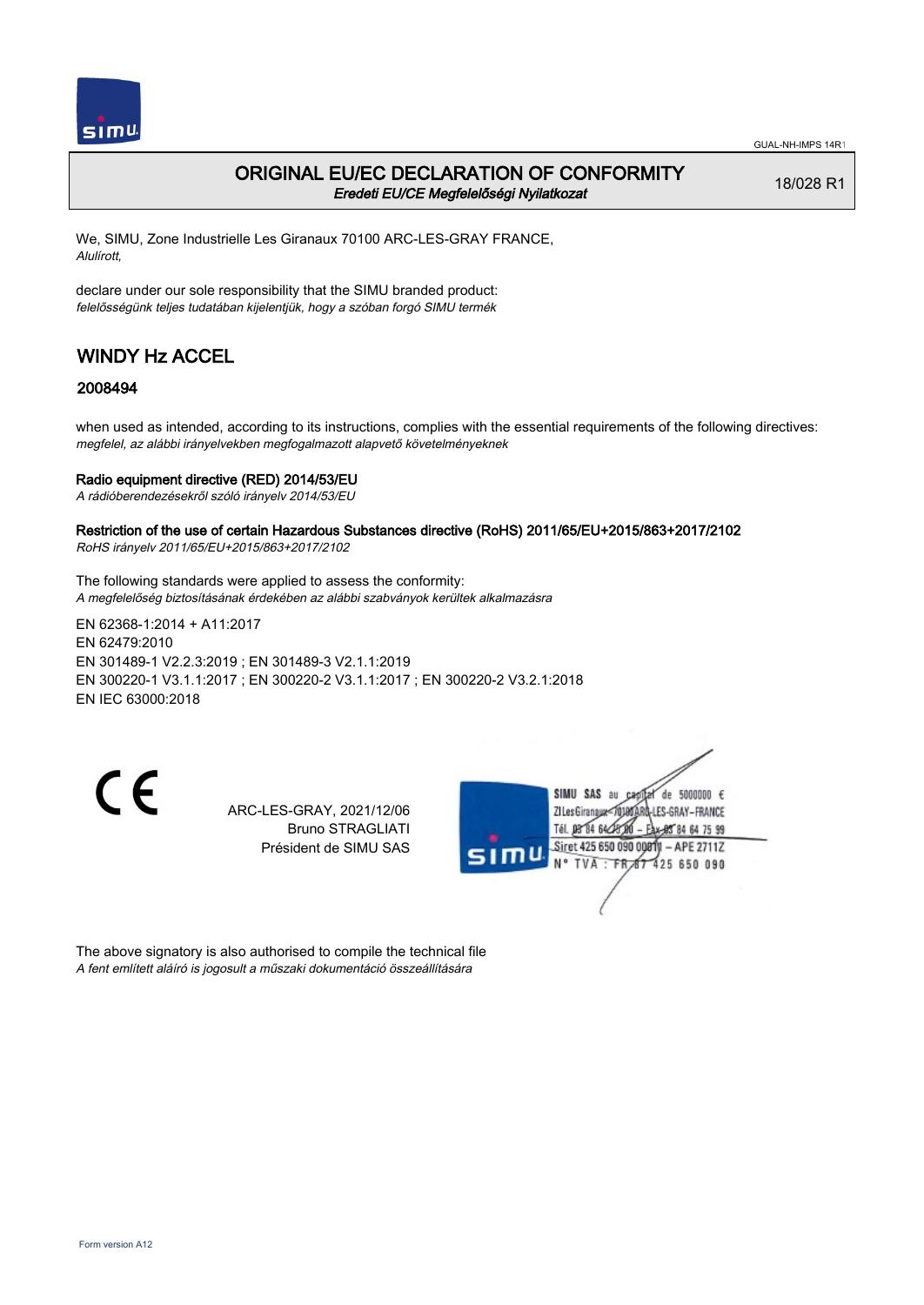

## ORIGINAL EU/EC DECLARATION OF CONFORMITY Eredeti EU/CE Megfelelőségi Nyilatkozat

18/028 R1

We, SIMU, Zone Industrielle Les Giranaux 70100 ARC-LES-GRAY FRANCE, Alulírott,

declare under our sole responsibility that the SIMU branded product: felelősségünk teljes tudatában kijelentjük, hogy a szóban forgó SIMU termék

# WINDY Hz ACCEL

## 2008494

when used as intended, according to its instructions, complies with the essential requirements of the following directives: megfelel, az alábbi irányelvekben megfogalmazott alapvető követelményeknek

### Radio equipment directive (RED) 2014/53/EU

A rádióberendezésekről szóló irányelv 2014/53/EU

Restriction of the use of certain Hazardous Substances directive (RoHS) 2011/65/EU+2015/863+2017/2102 RoHS irányelv 2011/65/EU+2015/863+2017/2102

The following standards were applied to assess the conformity: A megfelelőség biztosításának érdekében az alábbi szabványok kerültek alkalmazásra

EN 62368‑1:2014 + A11:2017 EN 62479:2010 EN 301489‑1 V2.2.3:2019 ; EN 301489‑3 V2.1.1:2019 EN 300220‑1 V3.1.1:2017 ; EN 300220‑2 V3.1.1:2017 ; EN 300220‑2 V3.2.1:2018 EN IEC 63000:2018

C E

ARC-LES-GRAY, 2021/12/06 Bruno STRAGLIATI Président de SIMU SAS



The above signatory is also authorised to compile the technical file A fent említett aláíró is jogosult a műszaki dokumentáció összeállítására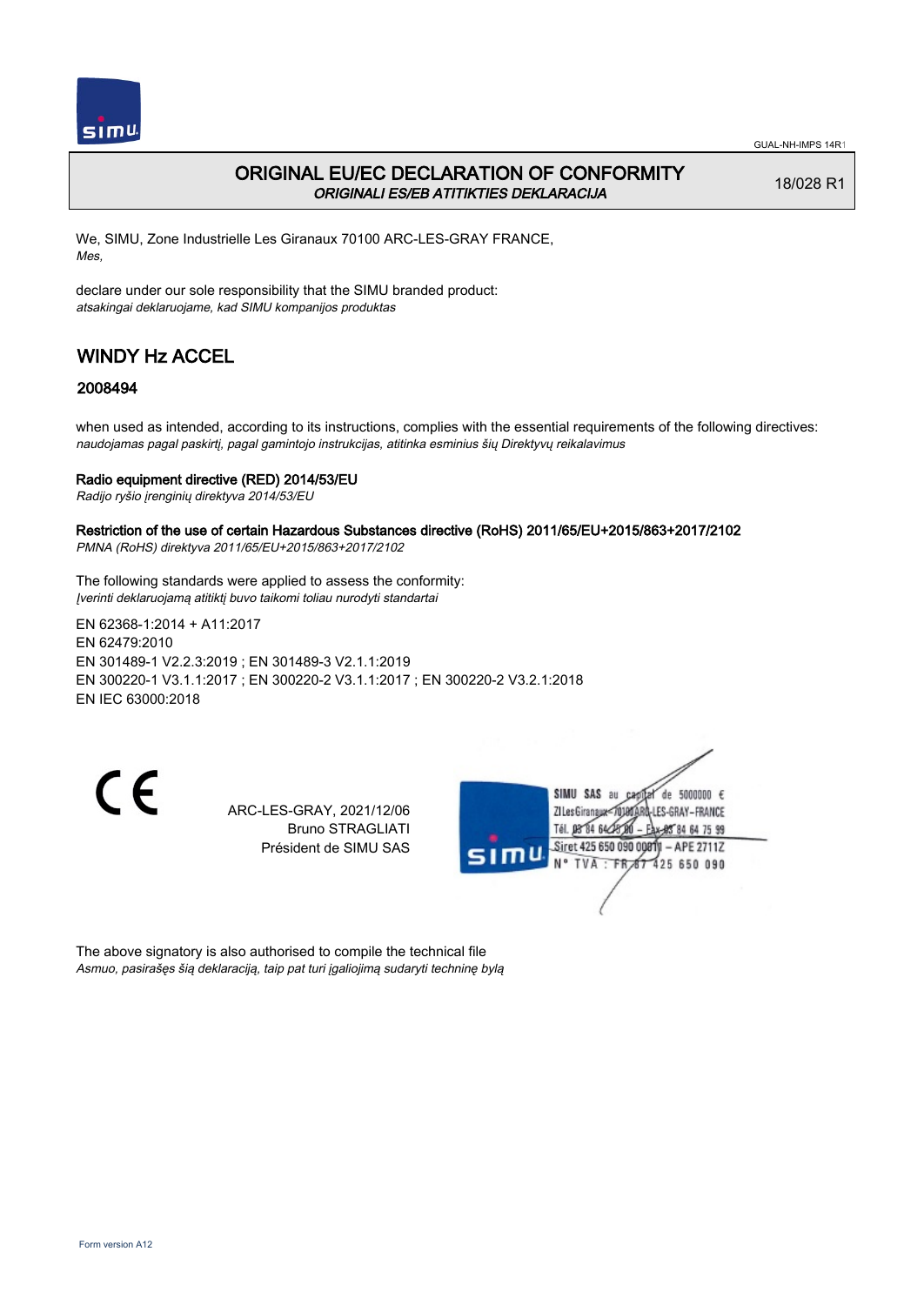

## ORIGINAL EU/EC DECLARATION OF CONFORMITY ORIGINALI ES/EB ATITIKTIES DEKLARACIJA

18/028 R1

We, SIMU, Zone Industrielle Les Giranaux 70100 ARC-LES-GRAY FRANCE, Mes,

declare under our sole responsibility that the SIMU branded product: atsakingai deklaruojame, kad SIMU kompanijos produktas

# WINDY Hz ACCEL

## 2008494

when used as intended, according to its instructions, complies with the essential requirements of the following directives: naudojamas pagal paskirtį, pagal gamintojo instrukcijas, atitinka esminius šių Direktyvų reikalavimus

### Radio equipment directive (RED) 2014/53/EU

Radijo ryšio įrenginių direktyva 2014/53/EU

#### Restriction of the use of certain Hazardous Substances directive (RoHS) 2011/65/EU+2015/863+2017/2102 PMNA (RoHS) direktyva 2011/65/EU+2015/863+2017/2102

The following standards were applied to assess the conformity: Įverinti deklaruojamą atitiktį buvo taikomi toliau nurodyti standartai

EN 62368‑1:2014 + A11:2017 EN 62479:2010 EN 301489‑1 V2.2.3:2019 ; EN 301489‑3 V2.1.1:2019 EN 300220‑1 V3.1.1:2017 ; EN 300220‑2 V3.1.1:2017 ; EN 300220‑2 V3.2.1:2018 EN IEC 63000:2018

 $\epsilon$ 

ARC-LES-GRAY, 2021/12/06 Bruno STRAGLIATI Président de SIMU SAS



The above signatory is also authorised to compile the technical file Asmuo, pasirašęs šią deklaraciją, taip pat turi įgaliojimą sudaryti techninę bylą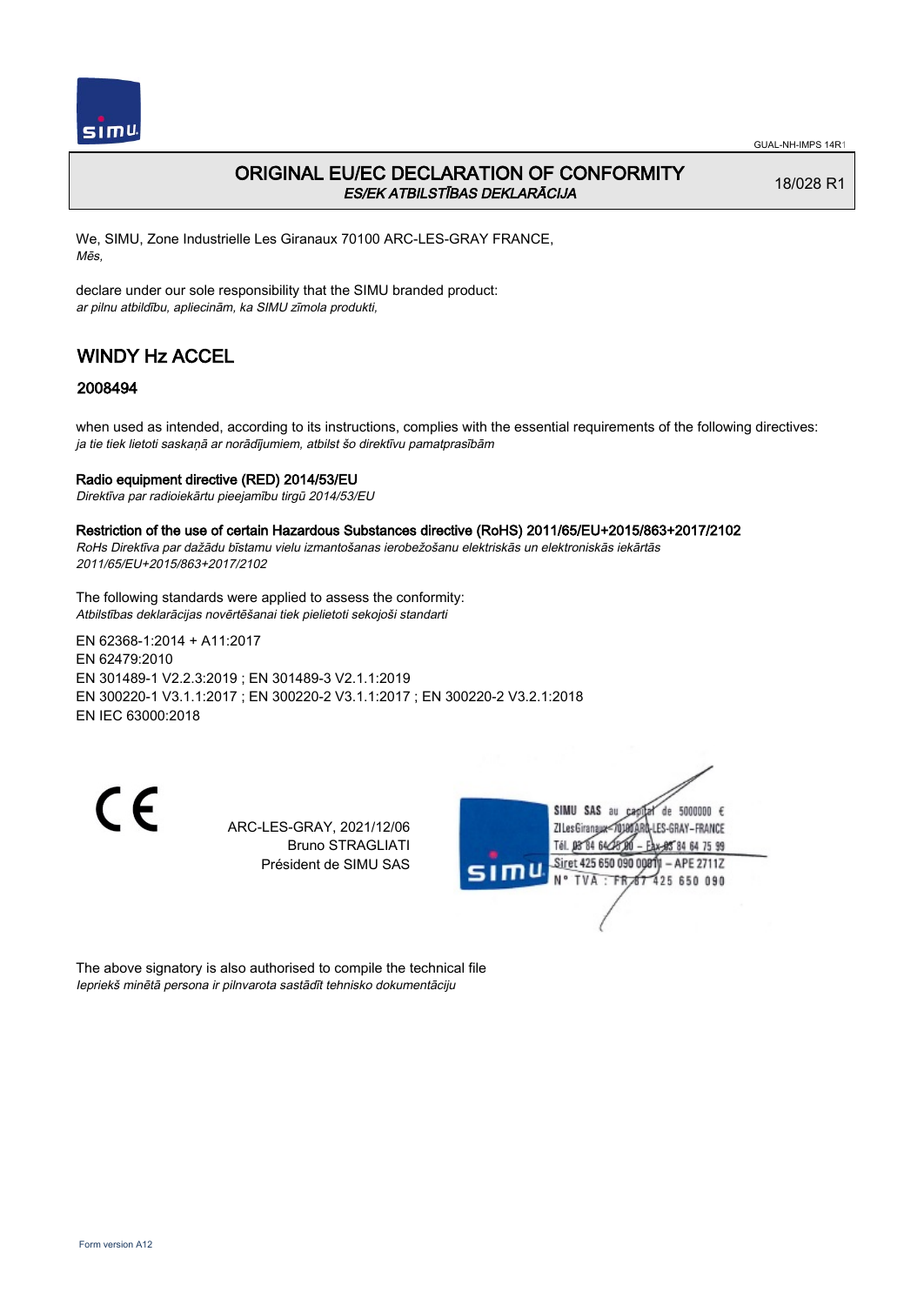

## ORIGINAL EU/EC DECLARATION OF CONFORMITY ES/EK ATBILSTĪBAS DEKLARĀCIJA

18/028 R1

We, SIMU, Zone Industrielle Les Giranaux 70100 ARC-LES-GRAY FRANCE, Mēs,

declare under our sole responsibility that the SIMU branded product: ar pilnu atbildību, apliecinām, ka SIMU zīmola produkti,

# WINDY Hz ACCEL

## 2008494

when used as intended, according to its instructions, complies with the essential requirements of the following directives: ja tie tiek lietoti saskaņā ar norādījumiem, atbilst šo direktīvu pamatprasībām

### Radio equipment directive (RED) 2014/53/EU

Direktīva par radioiekārtu pieejamību tirgū 2014/53/EU

Restriction of the use of certain Hazardous Substances directive (RoHS) 2011/65/EU+2015/863+2017/2102

RoHs Direktīva par dažādu bīstamu vielu izmantošanas ierobežošanu elektriskās un elektroniskās iekārtās 2011/65/EU+2015/863+2017/2102

The following standards were applied to assess the conformity: Atbilstības deklarācijas novērtēšanai tiek pielietoti sekojoši standarti

EN 62368‑1:2014 + A11:2017 EN 62479:2010 EN 301489‑1 V2.2.3:2019 ; EN 301489‑3 V2.1.1:2019 EN 300220‑1 V3.1.1:2017 ; EN 300220‑2 V3.1.1:2017 ; EN 300220‑2 V3.2.1:2018 EN IEC 63000:2018

CE

ARC-LES-GRAY, 2021/12/06 Bruno STRAGLIATI Président de SIMU SAS



The above signatory is also authorised to compile the technical file Iepriekš minētā persona ir pilnvarota sastādīt tehnisko dokumentāciju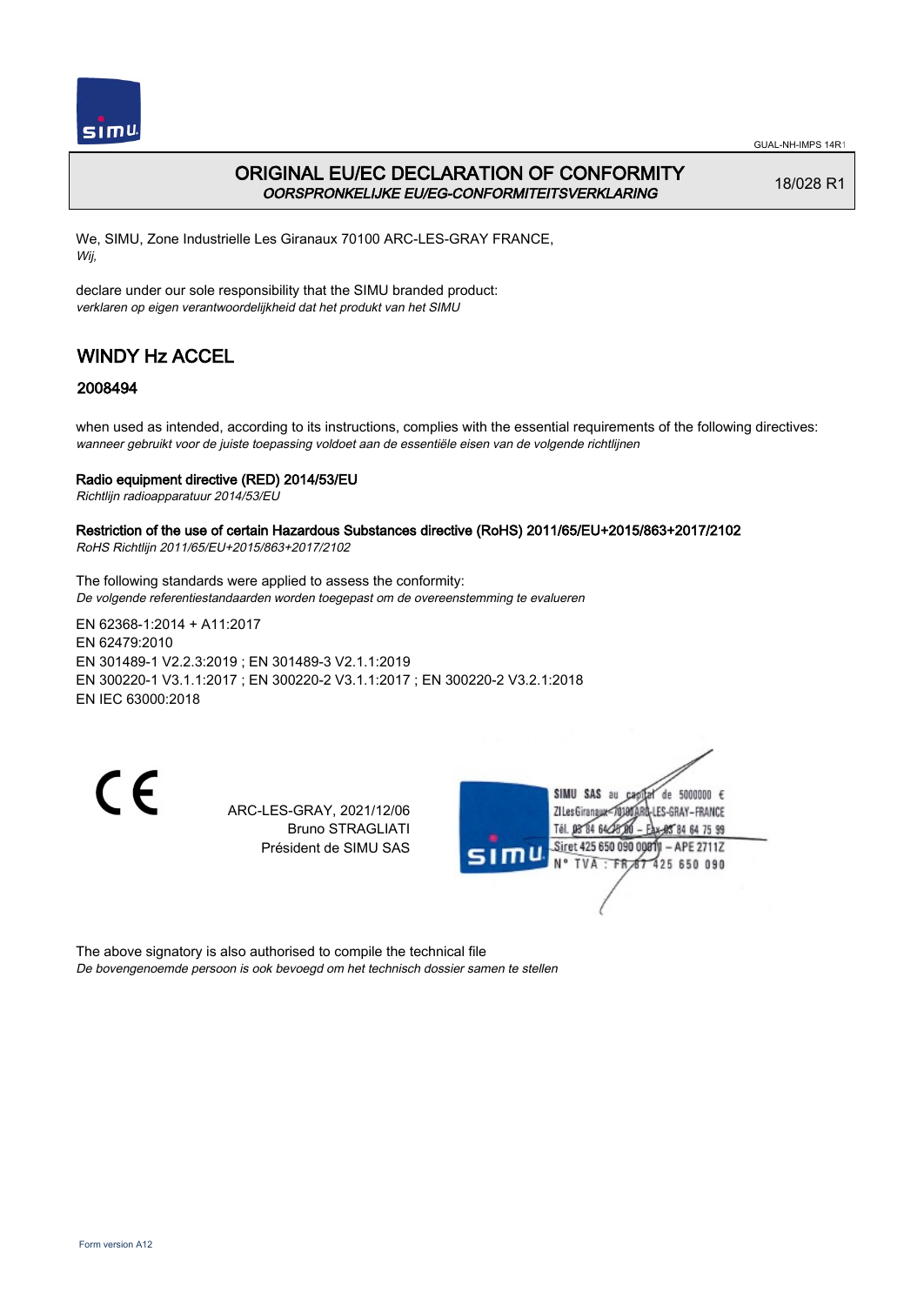

## ORIGINAL EU/EC DECLARATION OF CONFORMITY OORSPRONKELIJKE EU/EG-CONFORMITEITSVERKLARING

18/028 R1

We, SIMU, Zone Industrielle Les Giranaux 70100 ARC-LES-GRAY FRANCE, Wij,

declare under our sole responsibility that the SIMU branded product: verklaren op eigen verantwoordelijkheid dat het produkt van het SIMU

# WINDY Hz ACCEL

## 2008494

when used as intended, according to its instructions, complies with the essential requirements of the following directives: wanneer gebruikt voor de juiste toepassing voldoet aan de essentiële eisen van de volgende richtlijnen

### Radio equipment directive (RED) 2014/53/EU

Richtlijn radioapparatuur 2014/53/EU

#### Restriction of the use of certain Hazardous Substances directive (RoHS) 2011/65/EU+2015/863+2017/2102 RoHS Richtlijn 2011/65/EU+2015/863+2017/2102

The following standards were applied to assess the conformity: De volgende referentiestandaarden worden toegepast om de overeenstemming te evalueren

EN 62368‑1:2014 + A11:2017 EN 62479:2010 EN 301489‑1 V2.2.3:2019 ; EN 301489‑3 V2.1.1:2019 EN 300220‑1 V3.1.1:2017 ; EN 300220‑2 V3.1.1:2017 ; EN 300220‑2 V3.2.1:2018 EN IEC 63000:2018

 $\epsilon$ 

ARC-LES-GRAY, 2021/12/06 Bruno STRAGLIATI Président de SIMU SAS



The above signatory is also authorised to compile the technical file De bovengenoemde persoon is ook bevoegd om het technisch dossier samen te stellen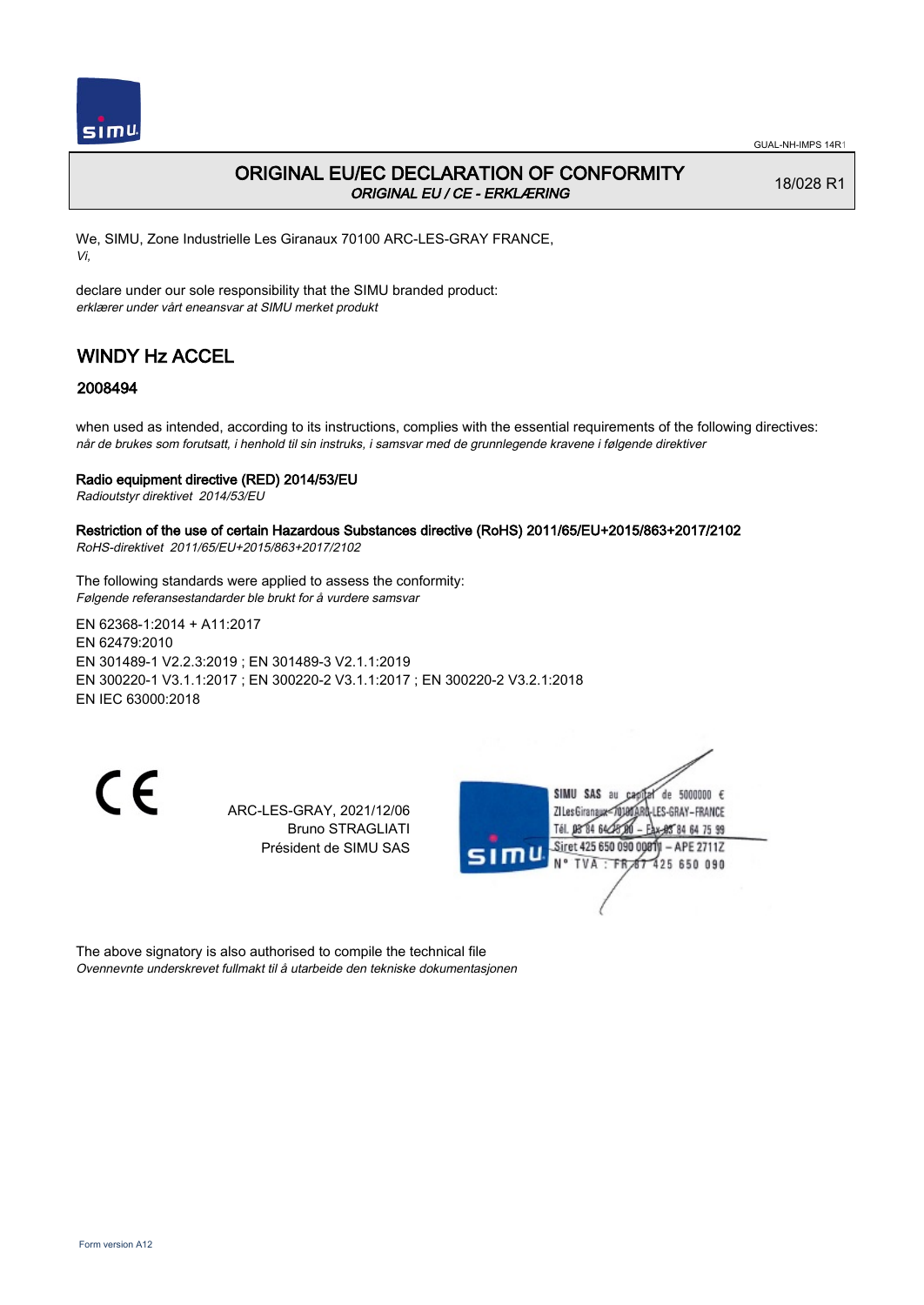

## ORIGINAL EU/EC DECLARATION OF CONFORMITY ORIGINAL EU / CE - ERKLÆRING

18/028 R1

We, SIMU, Zone Industrielle Les Giranaux 70100 ARC-LES-GRAY FRANCE, Vi,

declare under our sole responsibility that the SIMU branded product: erklærer under vårt eneansvar at SIMU merket produkt

# WINDY Hz ACCEL

## 2008494

when used as intended, according to its instructions, complies with the essential requirements of the following directives: når de brukes som forutsatt, i henhold til sin instruks, i samsvar med de grunnlegende kravene i følgende direktiver

### Radio equipment directive (RED) 2014/53/EU

Radioutstyr direktivet 2014/53/EU

#### Restriction of the use of certain Hazardous Substances directive (RoHS) 2011/65/EU+2015/863+2017/2102 RoHS-direktivet 2011/65/EU+2015/863+2017/2102

The following standards were applied to assess the conformity: Følgende referansestandarder ble brukt for å vurdere samsvar

EN 62368‑1:2014 + A11:2017 EN 62479:2010 EN 301489‑1 V2.2.3:2019 ; EN 301489‑3 V2.1.1:2019 EN 300220‑1 V3.1.1:2017 ; EN 300220‑2 V3.1.1:2017 ; EN 300220‑2 V3.2.1:2018 EN IEC 63000:2018

CE

ARC-LES-GRAY, 2021/12/06 Bruno STRAGLIATI Président de SIMU SAS



The above signatory is also authorised to compile the technical file Ovennevnte underskrevet fullmakt til å utarbeide den tekniske dokumentasjonen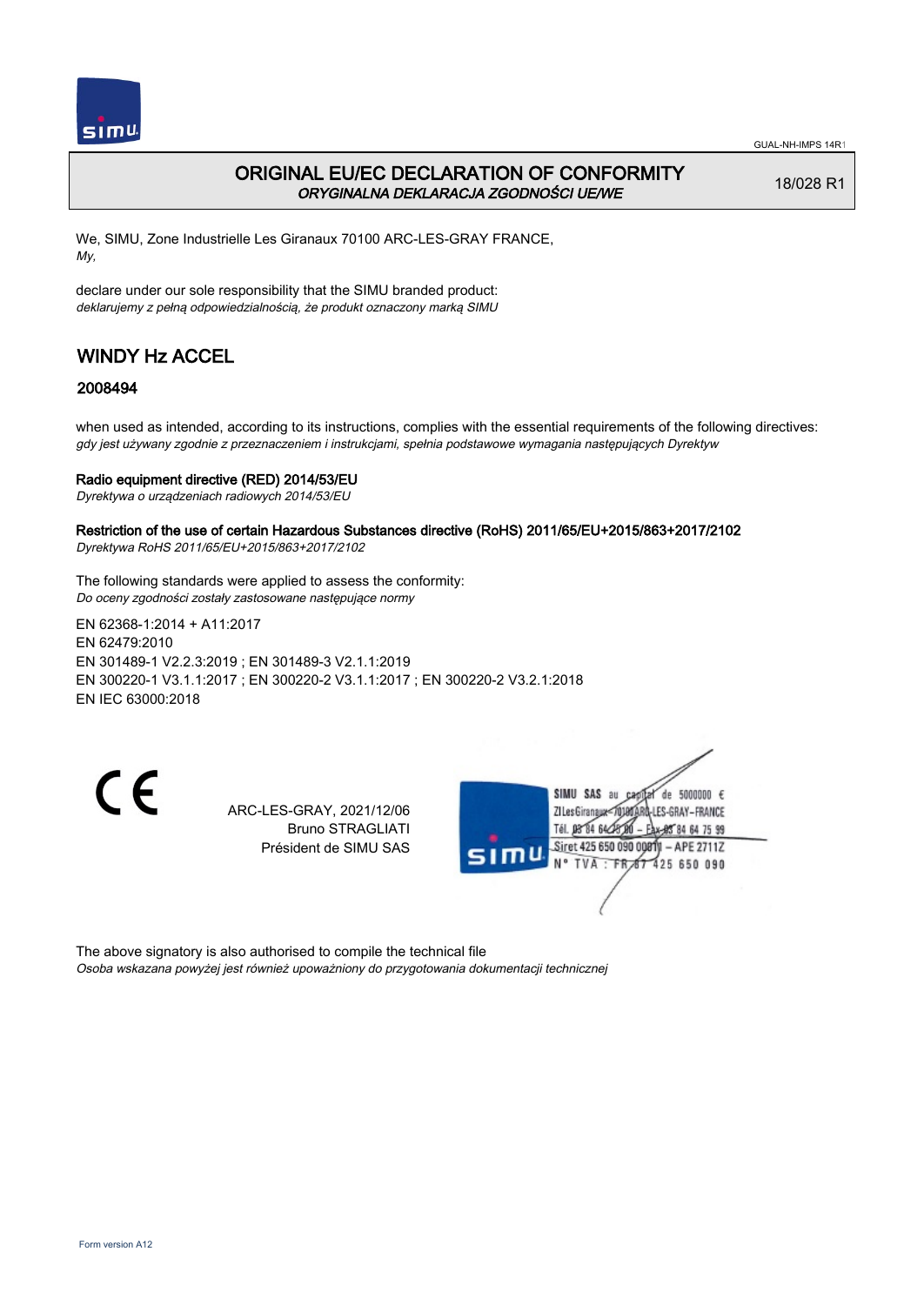

## ORIGINAL EU/EC DECLARATION OF CONFORMITY ORYGINALNA DEKLARACJA ZGODNOŚCI UE/WE

18/028 R1

We, SIMU, Zone Industrielle Les Giranaux 70100 ARC-LES-GRAY FRANCE, My,

declare under our sole responsibility that the SIMU branded product: deklarujemy z pełną odpowiedzialnością, że produkt oznaczony marką SIMU

# WINDY Hz ACCEL

## 2008494

when used as intended, according to its instructions, complies with the essential requirements of the following directives: gdy jest używany zgodnie z przeznaczeniem i instrukcjami, spełnia podstawowe wymagania następujących Dyrektyw

### Radio equipment directive (RED) 2014/53/EU

Dyrektywa o urządzeniach radiowych 2014/53/EU

#### Restriction of the use of certain Hazardous Substances directive (RoHS) 2011/65/EU+2015/863+2017/2102 Dyrektywa RoHS 2011/65/EU+2015/863+2017/2102

The following standards were applied to assess the conformity: Do oceny zgodności zostały zastosowane następujące normy

EN 62368‑1:2014 + A11:2017 EN 62479:2010 EN 301489‑1 V2.2.3:2019 ; EN 301489‑3 V2.1.1:2019 EN 300220‑1 V3.1.1:2017 ; EN 300220‑2 V3.1.1:2017 ; EN 300220‑2 V3.2.1:2018 EN IEC 63000:2018

 $\epsilon$ 

ARC-LES-GRAY, 2021/12/06 Bruno STRAGLIATI Président de SIMU SAS



The above signatory is also authorised to compile the technical file Osoba wskazana powyżej jest również upoważniony do przygotowania dokumentacji technicznej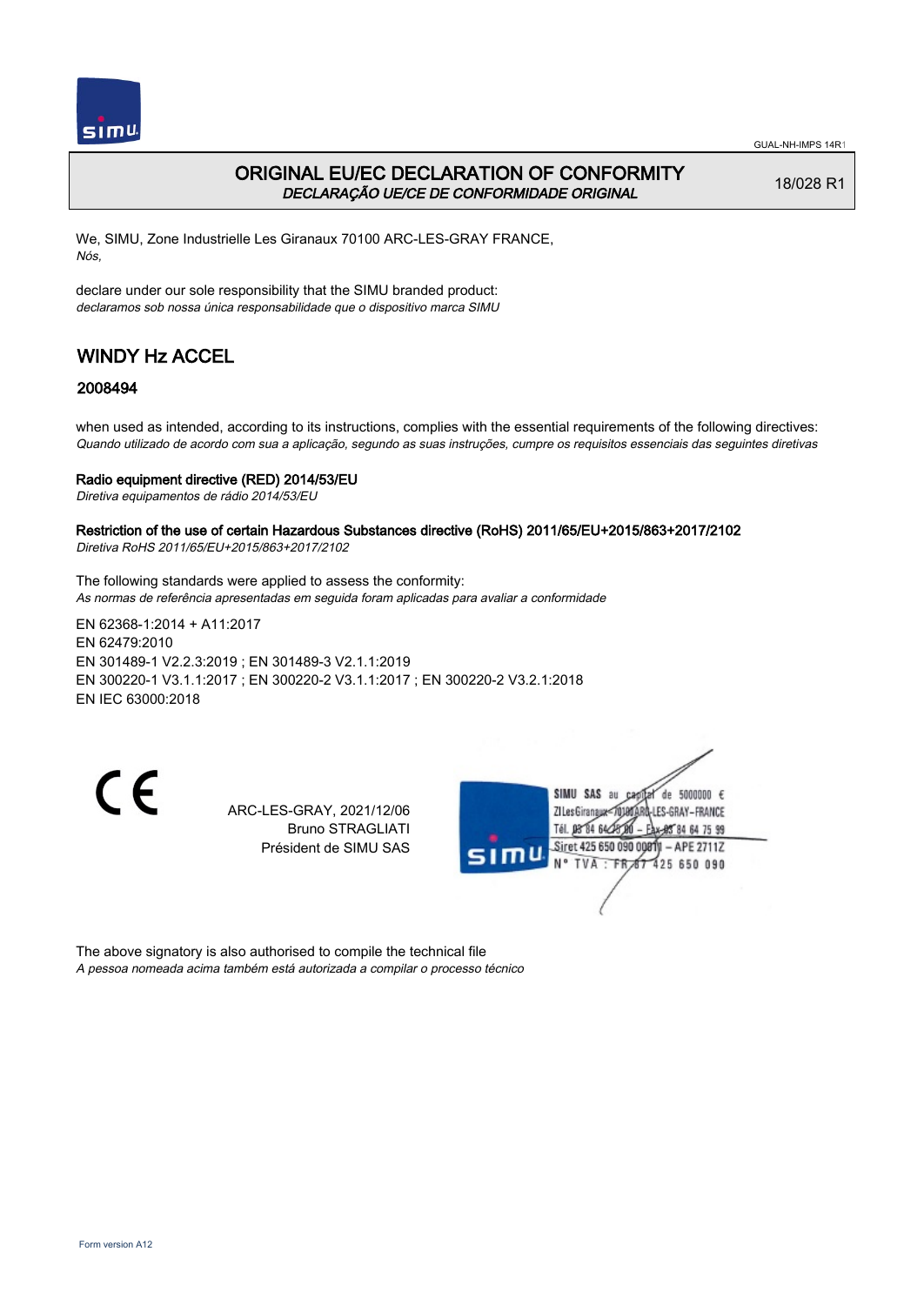

## ORIGINAL EU/EC DECLARATION OF CONFORMITY DECLARAÇÃO UE/CE DE CONFORMIDADE ORIGINAL

18/028 R1

We, SIMU, Zone Industrielle Les Giranaux 70100 ARC-LES-GRAY FRANCE, Nós,

declare under our sole responsibility that the SIMU branded product: declaramos sob nossa única responsabilidade que o dispositivo marca SIMU

# WINDY Hz ACCEL

## 2008494

when used as intended, according to its instructions, complies with the essential requirements of the following directives: Quando utilizado de acordo com sua a aplicação, segundo as suas instruções, cumpre os requisitos essenciais das seguintes diretivas

### Radio equipment directive (RED) 2014/53/EU

Diretiva equipamentos de rádio 2014/53/EU

#### Restriction of the use of certain Hazardous Substances directive (RoHS) 2011/65/EU+2015/863+2017/2102 Diretiva RoHS 2011/65/EU+2015/863+2017/2102

The following standards were applied to assess the conformity: As normas de referência apresentadas em seguida foram aplicadas para avaliar a conformidade

EN 62368‑1:2014 + A11:2017 EN 62479:2010 EN 301489‑1 V2.2.3:2019 ; EN 301489‑3 V2.1.1:2019 EN 300220‑1 V3.1.1:2017 ; EN 300220‑2 V3.1.1:2017 ; EN 300220‑2 V3.2.1:2018 EN IEC 63000:2018

 $\epsilon$ 

ARC-LES-GRAY, 2021/12/06 Bruno STRAGLIATI Président de SIMU SAS



The above signatory is also authorised to compile the technical file A pessoa nomeada acima também está autorizada a compilar o processo técnico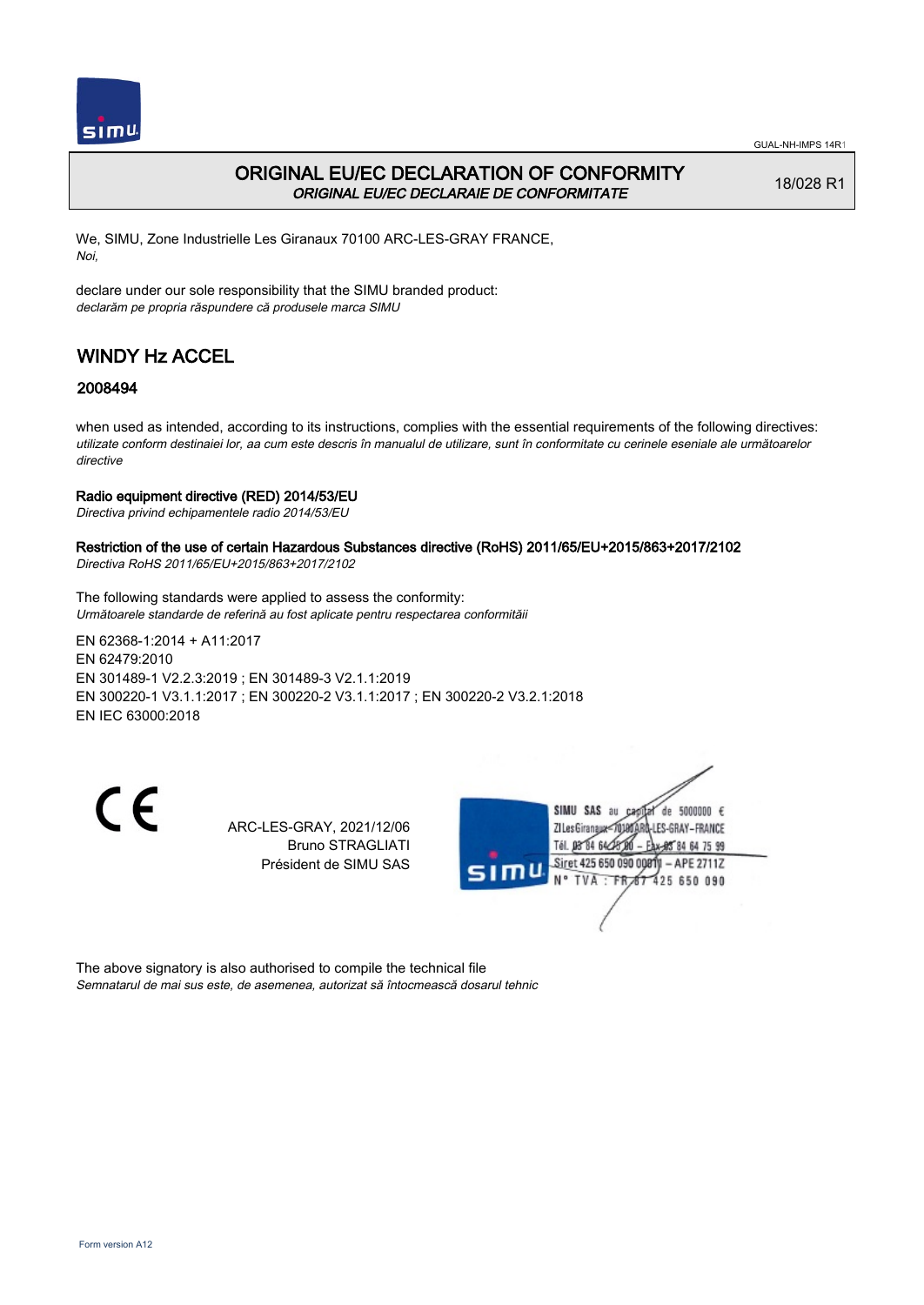

## ORIGINAL EU/EC DECLARATION OF CONFORMITY ORIGINAL EU/EC DECLARAIE DE CONFORMITATE

18/028 R1

We, SIMU, Zone Industrielle Les Giranaux 70100 ARC-LES-GRAY FRANCE, Noi,

declare under our sole responsibility that the SIMU branded product: declarăm pe propria răspundere că produsele marca SIMU

# WINDY Hz ACCEL

## 2008494

when used as intended, according to its instructions, complies with the essential requirements of the following directives: utilizate conform destinaiei lor, aa cum este descris în manualul de utilizare, sunt în conformitate cu cerinele eseniale ale următoarelor directive

### Radio equipment directive (RED) 2014/53/EU

Directiva privind echipamentele radio 2014/53/EU

## Restriction of the use of certain Hazardous Substances directive (RoHS) 2011/65/EU+2015/863+2017/2102

Directiva RoHS 2011/65/EU+2015/863+2017/2102

The following standards were applied to assess the conformity: Următoarele standarde de referină au fost aplicate pentru respectarea conformităii

EN 62368‑1:2014 + A11:2017 EN 62479:2010 EN 301489‑1 V2.2.3:2019 ; EN 301489‑3 V2.1.1:2019 EN 300220‑1 V3.1.1:2017 ; EN 300220‑2 V3.1.1:2017 ; EN 300220‑2 V3.2.1:2018 EN IEC 63000:2018

CE

ARC-LES-GRAY, 2021/12/06 Bruno STRAGLIATI Président de SIMU SAS



The above signatory is also authorised to compile the technical file Semnatarul de mai sus este, de asemenea, autorizat să întocmească dosarul tehnic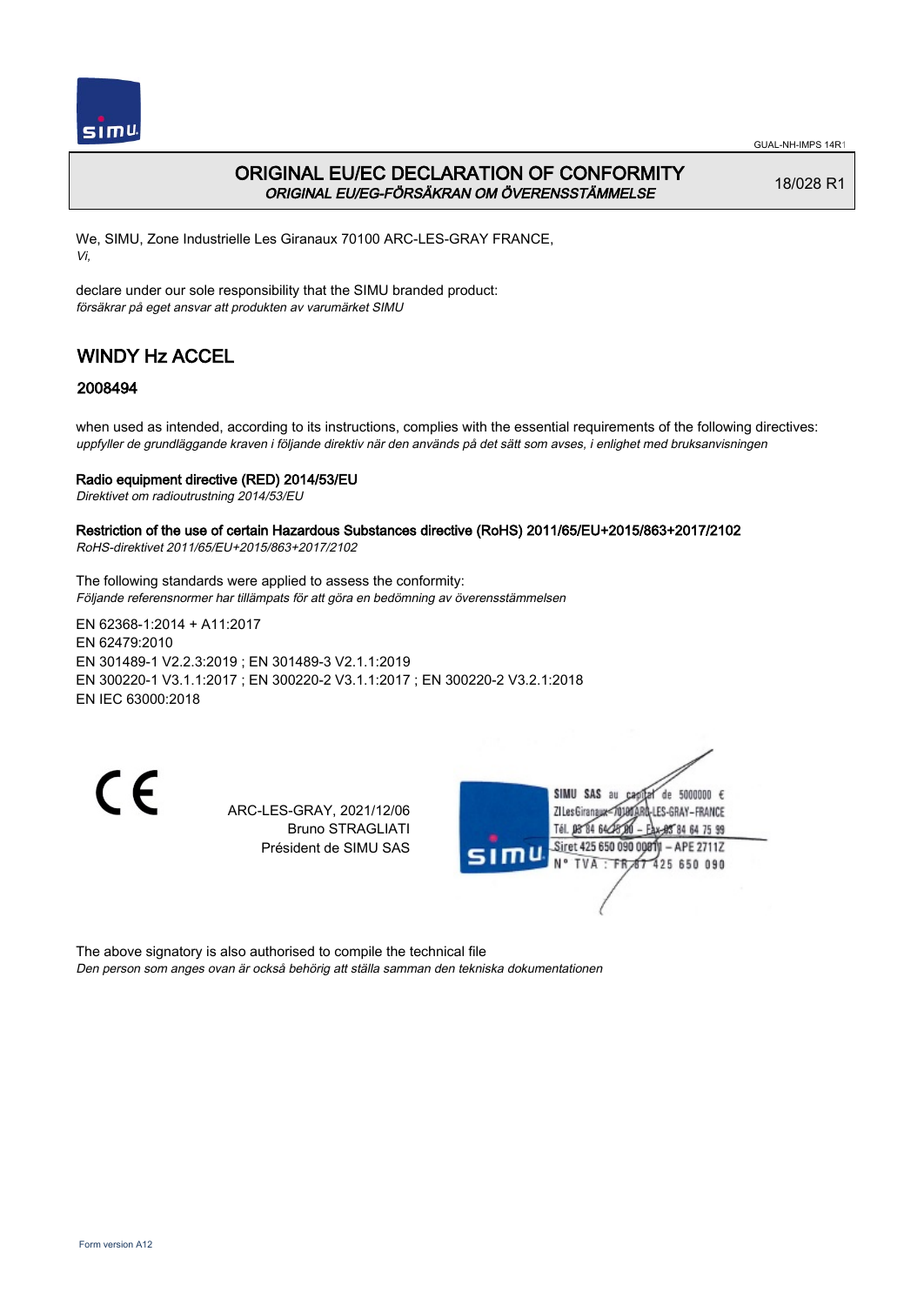

## ORIGINAL EU/EC DECLARATION OF CONFORMITY ORIGINAL EU/EG-FÖRSÄKRAN OM ÖVERENSSTÄMMELSE

18/028 R1

We, SIMU, Zone Industrielle Les Giranaux 70100 ARC-LES-GRAY FRANCE, Vi,

declare under our sole responsibility that the SIMU branded product: försäkrar på eget ansvar att produkten av varumärket SIMU

# WINDY Hz ACCEL

## 2008494

when used as intended, according to its instructions, complies with the essential requirements of the following directives: uppfyller de grundläggande kraven i följande direktiv när den används på det sätt som avses, i enlighet med bruksanvisningen

### Radio equipment directive (RED) 2014/53/EU

Direktivet om radioutrustning 2014/53/EU

Restriction of the use of certain Hazardous Substances directive (RoHS) 2011/65/EU+2015/863+2017/2102 RoHS-direktivet 2011/65/EU+2015/863+2017/2102

The following standards were applied to assess the conformity: Följande referensnormer har tillämpats för att göra en bedömning av överensstämmelsen

EN 62368‑1:2014 + A11:2017 EN 62479:2010 EN 301489‑1 V2.2.3:2019 ; EN 301489‑3 V2.1.1:2019 EN 300220‑1 V3.1.1:2017 ; EN 300220‑2 V3.1.1:2017 ; EN 300220‑2 V3.2.1:2018 EN IEC 63000:2018

 $\epsilon$ 

ARC-LES-GRAY, 2021/12/06 Bruno STRAGLIATI Président de SIMU SAS



The above signatory is also authorised to compile the technical file Den person som anges ovan är också behörig att ställa samman den tekniska dokumentationen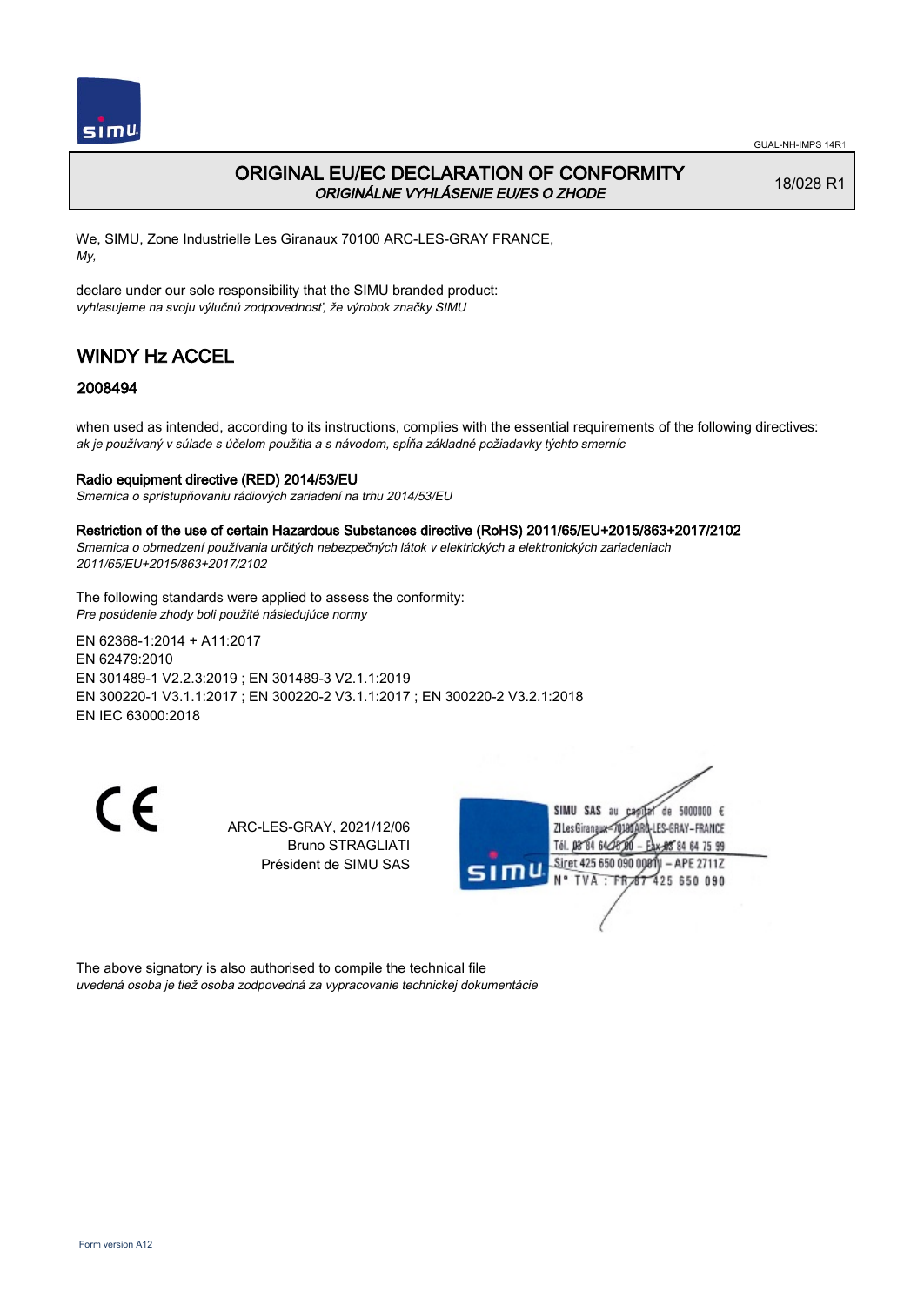

## ORIGINAL EU/EC DECLARATION OF CONFORMITY ORIGINÁLNE VYHLÁSENIE EU/ES O ZHODE

18/028 R1

We, SIMU, Zone Industrielle Les Giranaux 70100 ARC-LES-GRAY FRANCE, My,

declare under our sole responsibility that the SIMU branded product: vyhlasujeme na svoju výlučnú zodpovednosť, že výrobok značky SIMU

# WINDY Hz ACCEL

## 2008494

when used as intended, according to its instructions, complies with the essential requirements of the following directives: ak je používaný v súlade s účelom použitia a s návodom, spĺňa základné požiadavky týchto smerníc

### Radio equipment directive (RED) 2014/53/EU

Smernica o sprístupňovaniu rádiových zariadení na trhu 2014/53/EU

#### Restriction of the use of certain Hazardous Substances directive (RoHS) 2011/65/EU+2015/863+2017/2102

Smernica o obmedzení používania určitých nebezpečných látok v elektrických a elektronických zariadeniach 2011/65/EU+2015/863+2017/2102

The following standards were applied to assess the conformity: Pre posúdenie zhody boli použité následujúce normy

EN 62368‑1:2014 + A11:2017 EN 62479:2010 EN 301489‑1 V2.2.3:2019 ; EN 301489‑3 V2.1.1:2019 EN 300220‑1 V3.1.1:2017 ; EN 300220‑2 V3.1.1:2017 ; EN 300220‑2 V3.2.1:2018 EN IEC 63000:2018

CE

ARC-LES-GRAY, 2021/12/06 Bruno STRAGLIATI Président de SIMU SAS



The above signatory is also authorised to compile the technical file uvedená osoba je tiež osoba zodpovedná za vypracovanie technickej dokumentácie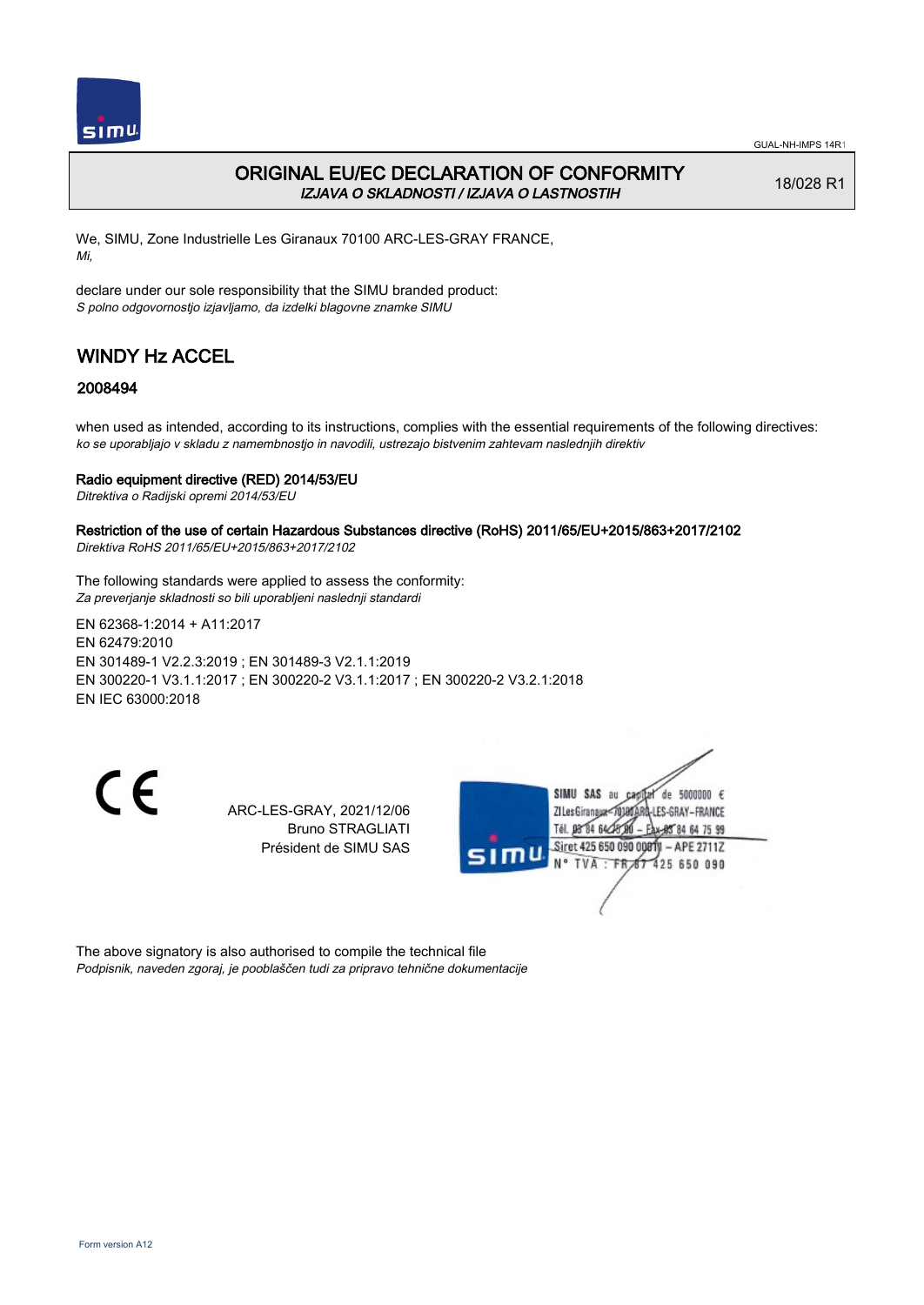

## ORIGINAL EU/EC DECLARATION OF CONFORMITY IZJAVA O SKLADNOSTI / IZJAVA O LASTNOSTIH

18/028 R1

We, SIMU, Zone Industrielle Les Giranaux 70100 ARC-LES-GRAY FRANCE, Mi,

declare under our sole responsibility that the SIMU branded product: S polno odgovornostjo izjavljamo, da izdelki blagovne znamke SIMU

# WINDY Hz ACCEL

## 2008494

when used as intended, according to its instructions, complies with the essential requirements of the following directives: ko se uporabljajo v skladu z namembnostjo in navodili, ustrezajo bistvenim zahtevam naslednjih direktiv

### Radio equipment directive (RED) 2014/53/EU

Ditrektiva o Radijski opremi 2014/53/EU

#### Restriction of the use of certain Hazardous Substances directive (RoHS) 2011/65/EU+2015/863+2017/2102 Direktiva RoHS 2011/65/EU+2015/863+2017/2102

The following standards were applied to assess the conformity: Za preverjanje skladnosti so bili uporabljeni naslednji standardi

EN 62368‑1:2014 + A11:2017 EN 62479:2010 EN 301489‑1 V2.2.3:2019 ; EN 301489‑3 V2.1.1:2019 EN 300220‑1 V3.1.1:2017 ; EN 300220‑2 V3.1.1:2017 ; EN 300220‑2 V3.2.1:2018 EN IEC 63000:2018

 $\epsilon$ 

ARC-LES-GRAY, 2021/12/06 Bruno STRAGLIATI Président de SIMU SAS



The above signatory is also authorised to compile the technical file Podpisnik, naveden zgoraj, je pooblaščen tudi za pripravo tehnične dokumentacije